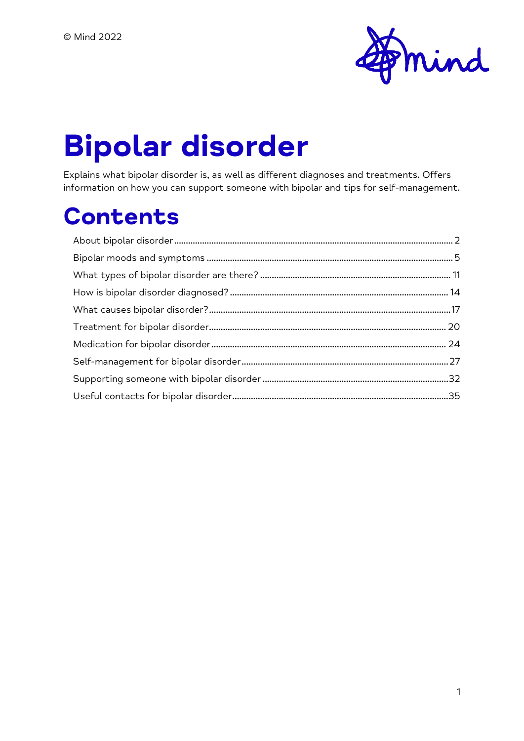

# **Bipolar disorder**

Explains what bipolar disorder is, as well as different diagnoses and treatments. Offers information on how you can support someone with bipolar and tips for self-management.

# **Contents**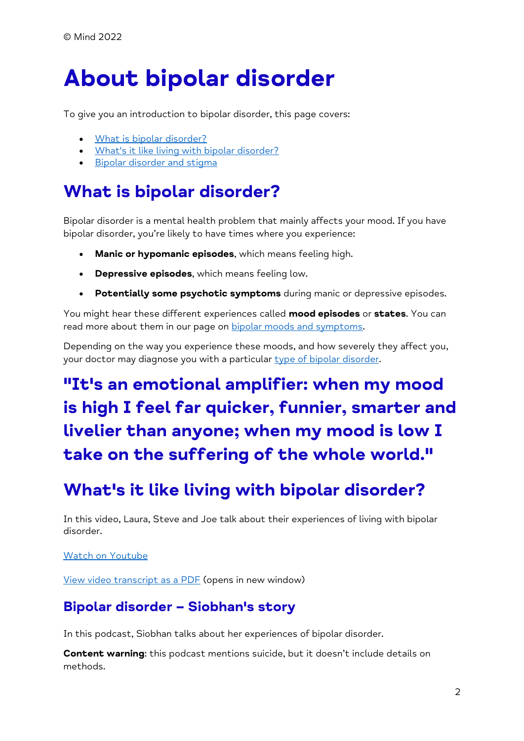# <span id="page-1-0"></span>**About bipolar disorder**

To give you an introduction to bipolar disorder, this page covers:

- [What is bipolar disorder?](https://www.mind.org.uk/information-support/types-of-mental-health-problems/bipolar-disorder/about-bipolar-disorder/#WhatIsBipolarDisorder)
- [What's it like living with bipolar disorder?](https://www.mind.org.uk/information-support/types-of-mental-health-problems/bipolar-disorder/about-bipolar-disorder/#WhatsItLikeLivingWithBipolarDisorder)
- [Bipolar disorder and stigma](https://www.mind.org.uk/information-support/types-of-mental-health-problems/bipolar-disorder/about-bipolar-disorder/#BipolarDisorderAndStigma)

## **What is bipolar disorder?**

Bipolar disorder is a mental health problem that mainly affects your mood. If you have bipolar disorder, you're likely to have times where you experience:

- **Manic or hypomanic episodes**, which means feeling high.
- **Depressive episodes**, which means feeling low.
- **Potentially some psychotic symptoms** during manic or depressive episodes.

You might hear these different experiences called **mood episodes** or **states**. You can read more about them in our page on [bipolar moods and symptoms.](https://www.mind.org.uk/information-support/types-of-mental-health-problems/bipolar-disorder/bipolar-moods-symptoms/)

Depending on the way you experience these moods, and how severely they affect you, your doctor may diagnose you with a particular [type of bipolar disorder.](https://www.mind.org.uk/information-support/types-of-mental-health-problems/bipolar-disorder/types-of-bipolar/)

## **"It's an emotional amplifier: when my mood is high I feel far quicker, funnier, smarter and livelier than anyone; when my mood is low I take on the suffering of the whole world."**

## **What's it like living with bipolar disorder?**

In this video, Laura, Steve and Joe talk about their experiences of living with bipolar disorder.

#### [Watch on Youtube](https://www.youtube.com/watch?v=cXOImAaAFj8)

[View video transcript as a PDF](https://www.mind.org.uk/media/12134/bipolar-disorder-talking-about-mental-health-video-transcript.pdf) (opens in new window)

#### **Bipolar disorder – Siobhan's story**

In this podcast, Siobhan talks about her experiences of bipolar disorder.

**Content warning**: this podcast mentions suicide, but it doesn't include details on methods.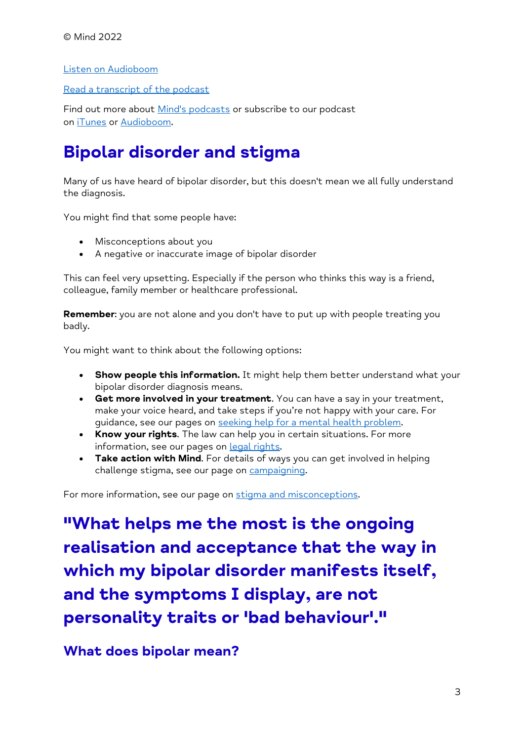[Listen on Audioboom](https://audioboom.com/posts/1264775-bipolar-disorder-siobhan-s-story)

[Read a transcript of the podcast](https://www.mind.org.uk/information-support/your-stories/mind-podcast-living-with-bipolar/)

Find out more about [Mind's podcasts](https://www.mind.org.uk/information-support/podcasts/) or subscribe to our podcast on [iTunes](https://itunes.apple.com/gb/podcast/mind/id1001992840) or [Audioboom.](https://audioboom.com/channel/mindcharity)

## **Bipolar disorder and stigma**

Many of us have heard of bipolar disorder, but this doesn't mean we all fully understand the diagnosis.

You might find that some people have:

- Misconceptions about you
- A negative or inaccurate image of bipolar disorder

This can feel very upsetting. Especially if the person who thinks this way is a friend, colleague, family member or healthcare professional.

**Remember**: you are not alone and you don't have to put up with people treating you badly.

You might want to think about the following options:

- **Show people this information.** It might help them better understand what your bipolar disorder diagnosis means.
- **Get more involved in your treatment**. You can have a say in your treatment, make your voice heard, and take steps if you're not happy with your care. For guidance, see our pages on [seeking help for a mental health problem.](https://www.mind.org.uk/information-support/guides-to-support-and-services/seeking-help-for-a-mental-health-problem/)
- **Know your rights**. The law can help you in certain situations. For more information, see our pages on legal [rights.](https://www.mind.org.uk/information-support/legal-rights/)
- **Take action with Mind**. For details of ways you can get involved in helping challenge stigma, see our page on [campaigning.](https://www.mind.org.uk/news-campaigns/campaigns/)

For more information, see our page on [stigma and misconceptions.](https://www.mind.org.uk/information-support/types-of-mental-health-problems/mental-health-problems-introduction/stigma-misconceptions/)

**"What helps me the most is the ongoing realisation and acceptance that the way in which my bipolar disorder manifests itself, and the symptoms I display, are not personality traits or 'bad behaviour'."**

**What does bipolar mean?**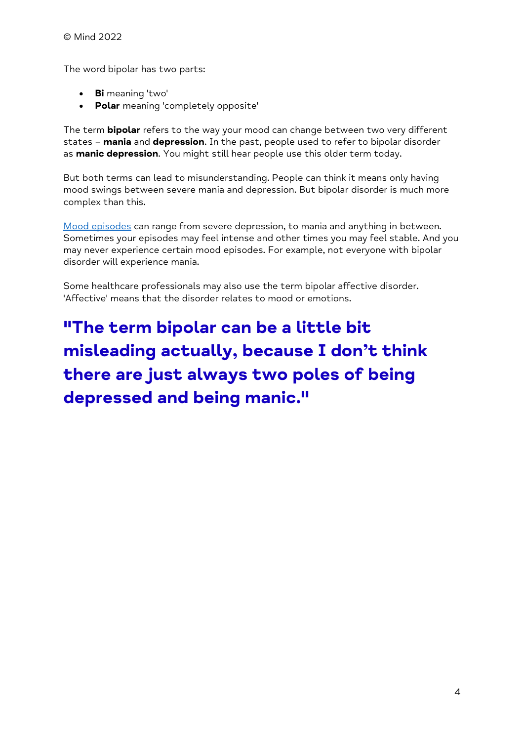The word bipolar has two parts:

- **Bi** meaning 'two'
- **Polar** meaning 'completely opposite'

The term **bipolar** refers to the way your mood can change between two very different states – **mania** and **depression**. In the past, people used to refer to bipolar disorder as **manic depression**. You might still hear people use this older term today.

But both terms can lead to misunderstanding. People can think it means only having mood swings between severe mania and depression. But bipolar disorder is much more complex than this.

[Mood episodes](https://www.mind.org.uk/information-support/types-of-mental-health-problems/bipolar-disorder/bipolar-moods-symptoms/) can range from severe depression, to mania and anything in between. Sometimes your episodes may feel intense and other times you may feel stable. And you may never experience certain mood episodes. For example, not everyone with bipolar disorder will experience mania.

Some healthcare professionals may also use the term bipolar affective disorder. 'Affective' means that the disorder relates to mood or emotions.

**"The term bipolar can be a little bit misleading actually, because I don't think there are just always two poles of being depressed and being manic."**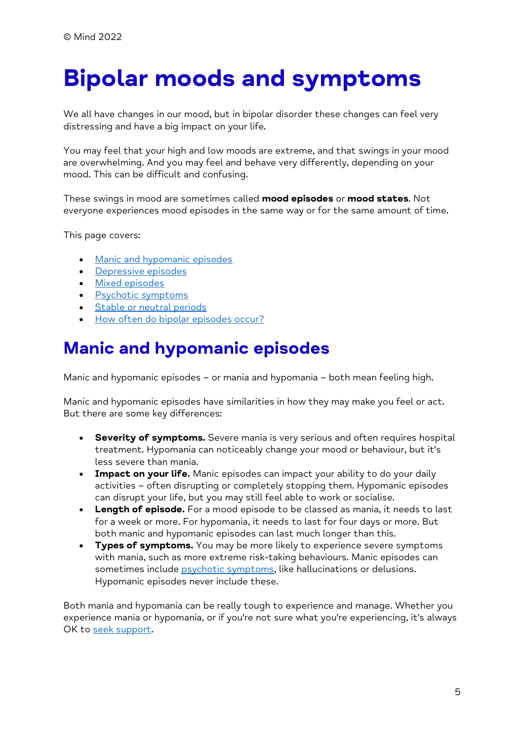# <span id="page-4-0"></span>**Bipolar moods and symptoms**

We all have changes in our mood, but in bipolar disorder these changes can feel very distressing and have a big impact on your life.

You may feel that your high and low moods are extreme, and that swings in your mood are overwhelming. And you may feel and behave very differently, depending on your mood. This can be difficult and confusing.

These swings in mood are sometimes called **mood episodes** or **mood states**. Not everyone experiences mood episodes in the same way or for the same amount of time.

This page covers:

- [Manic and hypomanic episodes](https://www.mind.org.uk/information-support/types-of-mental-health-problems/bipolar-disorder/bipolar-moods-symptoms/#ManicAndHypomanicEpisodes)
- [Depressive episodes](https://www.mind.org.uk/information-support/types-of-mental-health-problems/bipolar-disorder/bipolar-moods-symptoms/#DepressiveEpisodes)
- [Mixed episodes](https://www.mind.org.uk/information-support/types-of-mental-health-problems/bipolar-disorder/bipolar-moods-symptoms/#MixedEpisodes)
- [Psychotic symptoms](https://www.mind.org.uk/information-support/types-of-mental-health-problems/bipolar-disorder/bipolar-moods-symptoms/#PsychoticSymptoms)
- [Stable or neutral periods](https://www.mind.org.uk/information-support/types-of-mental-health-problems/bipolar-disorder/bipolar-moods-symptoms/#StableOrNeutralPeriods)
- [How often do bipolar episodes](https://www.mind.org.uk/information-support/types-of-mental-health-problems/bipolar-disorder/bipolar-moods-symptoms/#HowOftenDoBipolarEpisodesOccur) occur?

### **Manic and hypomanic episodes**

Manic and hypomanic episodes – or mania and hypomania – both mean feeling high.

Manic and hypomanic episodes have similarities in how they may make you feel or act. But there are some key differences:

- **Severity of symptoms.** Severe mania is very serious and often requires hospital treatment. Hypomania can noticeably change your mood or behaviour, but it's less severe than mania.
- **Impact on your life.** Manic episodes can impact your ability to do your daily activities – often disrupting or completely stopping them. Hypomanic episodes can disrupt your life, but you may still feel able to work or socialise.
- **Length of episode.** For a mood episode to be classed as mania, it needs to last for a week or more. For hypomania, it needs to last for four days or more. But both manic and hypomanic episodes can last much longer than this.
- **Types of symptoms.** You may be more likely to experience severe symptoms with mania, such as more extreme risk-taking behaviours. Manic episodes can sometimes include *psychotic symptoms*, like hallucinations or delusions. Hypomanic episodes never include these.

Both mania and hypomania can be really tough to experience and manage. Whether you experience mania or hypomania, or if you're not sure what you're experiencing, it's always OK to [seek support.](https://www.mind.org.uk/information-support/guides-to-support-and-services/seeking-help-for-a-mental-health-problem/)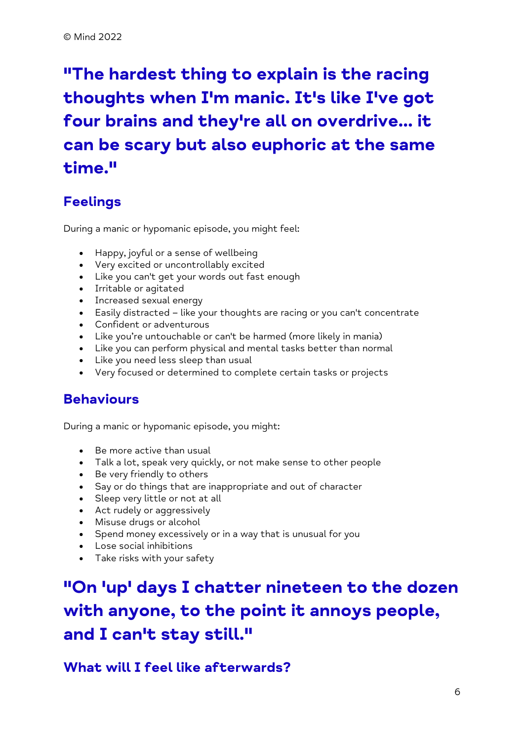# **"The hardest thing to explain is the racing thoughts when I'm manic. It's like I've got four brains and they're all on overdrive... it can be scary but also euphoric at the same time."**

#### **Feelings**

During a manic or hypomanic episode, you might feel:

- Happy, joyful or a sense of wellbeing
- Very excited or uncontrollably excited
- Like you can't get your words out fast enough
- Irritable or agitated
- Increased sexual energy
- Easily distracted like your thoughts are racing or you can't concentrate
- Confident or adventurous
- Like you're untouchable or can't be harmed (more likely in mania)
- Like you can perform physical and mental tasks better than normal
- Like you need less sleep than usual
- Very focused or determined to complete certain tasks or projects

#### **Behaviours**

During a manic or hypomanic episode, you might:

- Be more active than usual
- Talk a lot, speak very quickly, or not make sense to other people
- Be very friendly to others
- Say or do things that are inappropriate and out of character
- Sleep very little or not at all
- Act rudely or aggressively
- Misuse drugs or alcohol
- Spend money excessively or in a way that is unusual for you
- Lose social inhibitions
- Take risks with your safety

## **"On 'up' days I chatter nineteen to the dozen with anyone, to the point it annoys people, and I can't stay still."**

**What will I feel like afterwards?**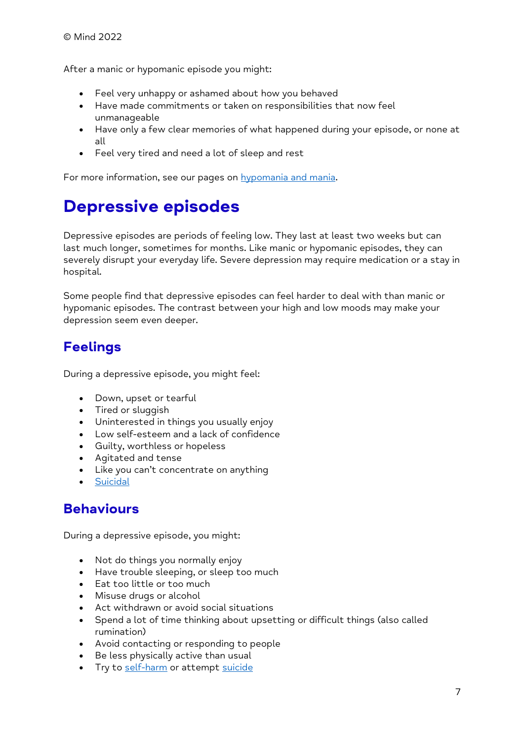After a manic or hypomanic episode you might:

- Feel very unhappy or ashamed about how you behaved
- Have made commitments or taken on responsibilities that now feel unmanageable
- Have only a few clear memories of what happened during your episode, or none at all
- Feel very tired and need a lot of sleep and rest

For more information, see our pages on [hypomania and mania.](https://www.mind.org.uk/information-support/types-of-mental-health-problems/hypomania-and-mania/)

## **Depressive episodes**

Depressive episodes are periods of feeling low. They last at least two weeks but can last much longer, sometimes for months. Like manic or hypomanic episodes, they can severely disrupt your everyday life. Severe depression may require medication or a stay in hospital.

Some people find that depressive episodes can feel harder to deal with than manic or hypomanic episodes. The contrast between your high and low moods may make your depression seem even deeper.

#### **Feelings**

During a depressive episode, you might feel:

- Down, upset or tearful
- Tired or sluggish
- Uninterested in things you usually enjoy
- Low self-esteem and a lack of confidence
- Guilty, worthless or hopeless
- Agitated and tense
- Like you can't concentrate on anything
- **[Suicidal](https://www.mind.org.uk/information-support/types-of-mental-health-problems/suicidal-feelings/)**

#### **Behaviours**

During a depressive episode, you might:

- Not do things you normally enjoy
- Have trouble sleeping, or sleep too much
- Eat too little or too much
- Misuse drugs or alcohol
- Act withdrawn or avoid social situations
- Spend a lot of time thinking about upsetting or difficult things (also called rumination)
- Avoid contacting or responding to people
- Be less physically active than usual
- Try to [self-harm](https://www.mind.org.uk/information-support/types-of-mental-health-problems/self-harm/) or attempt [suicide](https://www.mind.org.uk/information-support/types-of-mental-health-problems/suicidal-feelings/about-suicidal-feelings/)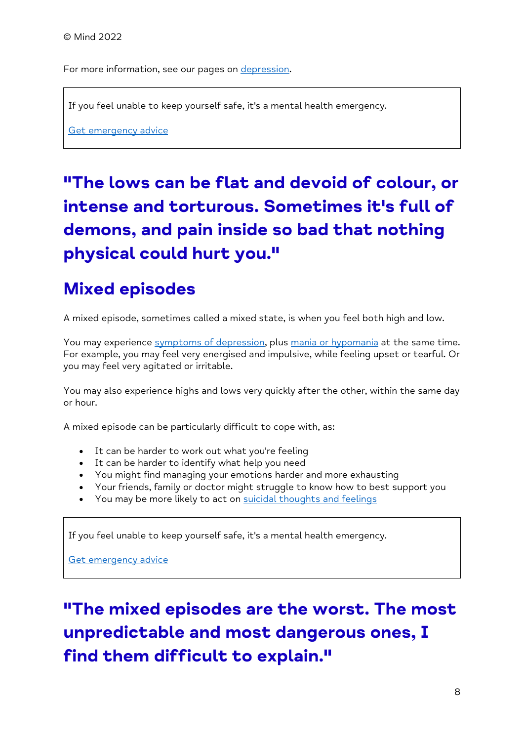For more information, see our pages on [depression.](https://www.mind.org.uk/information-support/types-of-mental-health-problems/depression/about-depression/)

If you feel unable to keep yourself safe, it's a mental health emergency.

[Get emergency advice](https://www.mind.org.uk/information-support/guides-to-support-and-services/crisis-services/getting-help-in-a-crisis/)

# **"The lows can be flat and devoid of colour, or intense and torturous. Sometimes it's full of demons, and pain inside so bad that nothing physical could hurt you."**

#### **Mixed episodes**

A mixed episode, sometimes called a mixed state, is when you feel both high and low.

You may experience [symptoms of depression,](https://www.mind.org.uk/information-support/types-of-mental-health-problems/bipolar-disorder/bipolar-moods-symptoms/#DepressiveEpisodes) plus [mania or hypomania](https://www.mind.org.uk/information-support/types-of-mental-health-problems/bipolar-disorder/bipolar-moods-symptoms/#ManicAndHypomanicEpisodes) at the same time. For example, you may feel very energised and impulsive, while feeling upset or tearful. Or you may feel very agitated or irritable.

You may also experience highs and lows very quickly after the other, within the same day or hour.

A mixed episode can be particularly difficult to cope with, as:

- It can be harder to work out what you're feeling
- It can be harder to identify what help you need
- You might find managing your emotions harder and more exhausting
- Your friends, family or doctor might struggle to know how to best support you
- You may be more likely to act on [suicidal thoughts and feelings](https://www.mind.org.uk/information-support/types-of-mental-health-problems/suicidal-feelings/)

If you feel unable to keep yourself safe, it's a mental health emergency.

[Get emergency advice](https://www.mind.org.uk/information-support/guides-to-support-and-services/crisis-services/getting-help-in-a-crisis/)

**"The mixed episodes are the worst. The most unpredictable and most dangerous ones, I find them difficult to explain."**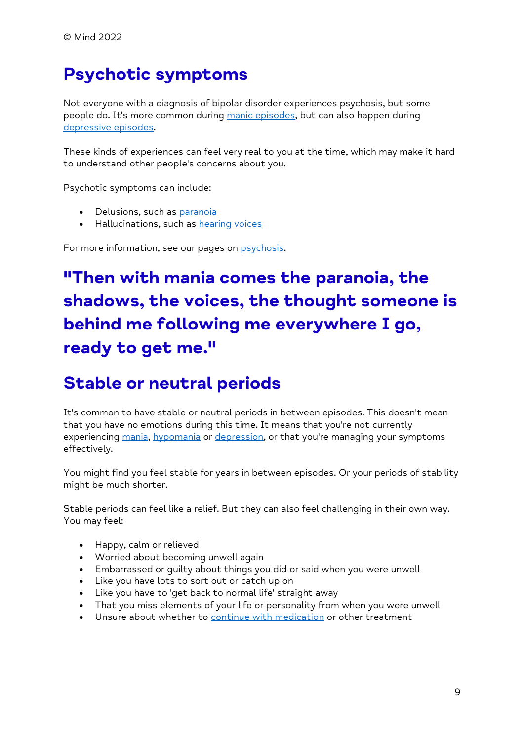## **Psychotic symptoms**

Not everyone with a diagnosis of bipolar disorder experiences psychosis, but some people do. It's more common during [manic episodes,](https://www.mind.org.uk/information-support/types-of-mental-health-problems/bipolar-disorder/bipolar-moods-symptoms/#ManicAndHypomanicEpisodes) but can also happen during [depressive episodes.](https://www.mind.org.uk/information-support/types-of-mental-health-problems/bipolar-disorder/bipolar-moods-symptoms/#DepressiveEpisodes)

These kinds of experiences can feel very real to you at the time, which may make it hard to understand other people's concerns about you.

Psychotic symptoms can include:

- Delusions, such as [paranoia](https://www.mind.org.uk/information-support/types-of-mental-health-problems/paranoia/)
- Hallucinations, such as [hearing voices](https://www.mind.org.uk/information-support/types-of-mental-health-problems/hearing-voices/)

For more information, see our pages on [psychosis.](https://www.mind.org.uk/information-support/types-of-mental-health-problems/psychosis/)

## **"Then with mania comes the paranoia, the shadows, the voices, the thought someone is behind me following me everywhere I go, ready to get me."**

#### **Stable or neutral periods**

It's common to have stable or neutral periods in between episodes. This doesn't mean that you have no emotions during this time. It means that you're not currently experiencing [mania,](https://www.mind.org.uk/information-support/types-of-mental-health-problems/bipolar-disorder/bipolar-moods-symptoms/#ManicAndHypomanicEpisodes) [hypomania](https://www.mind.org.uk/information-support/types-of-mental-health-problems/bipolar-disorder/bipolar-moods-symptoms/#ManicAndHypomanicEpisodes) or [depression,](https://www.mind.org.uk/information-support/types-of-mental-health-problems/bipolar-disorder/bipolar-moods-symptoms/#DepressiveEpisodes) or that you're managing your symptoms effectively.

You might find you feel stable for years in between episodes. Or your periods of stability might be much shorter.

Stable periods can feel like a relief. But they can also feel challenging in their own way. You may feel:

- Happy, calm or relieved
- Worried about becoming unwell again
- Embarrassed or guilty about things you did or said when you were unwell
- Like you have lots to sort out or catch up on
- Like you have to 'get back to normal life' straight away
- That you miss elements of your life or personality from when you were unwell
- Unsure about whether to [continue with medication](https://www.mind.org.uk/information-support/drugs-and-treatments/medication/coming-off-medication/) or other treatment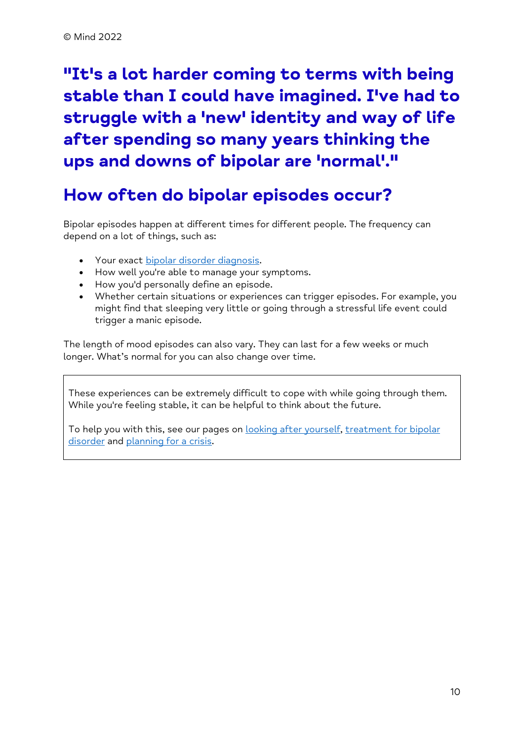## **"It's a lot harder coming to terms with being stable than I could have imagined. I've had to struggle with a 'new' identity and way of life after spending so many years thinking the ups and downs of bipolar are 'normal'."**

#### **How often do bipolar episodes occur?**

Bipolar episodes happen at different times for different people. The frequency can depend on a lot of things, such as:

- Your exact [bipolar disorder diagnosis.](https://www.mind.org.uk/information-support/types-of-mental-health-problems/bipolar-disorder/diagnosing-bipolar/)
- How well you're able to manage your symptoms.
- How you'd personally define an episode.
- Whether certain situations or experiences can trigger episodes. For example, you might find that sleeping very little or going through a stressful life event could trigger a manic episode.

The length of mood episodes can also vary. They can last for a few weeks or much longer. What's normal for you can also change over time.

These experiences can be extremely difficult to cope with while going through them. While you're feeling stable, it can be helpful to think about the future.

To help you with this, see our pages on [looking after yourself,](https://www.mind.org.uk/information-support/types-of-mental-health-problems/bipolar-disorder/self-managing-bipolar/) treatment for bipolar [disorder](https://www.mind.org.uk/information-support/types-of-mental-health-problems/bipolar-disorder/treatment-for-bipolar/) and [planning for a crisis.](https://www.mind.org.uk/information-support/guides-to-support-and-services/crisis-services/planning-for-a-crisis/)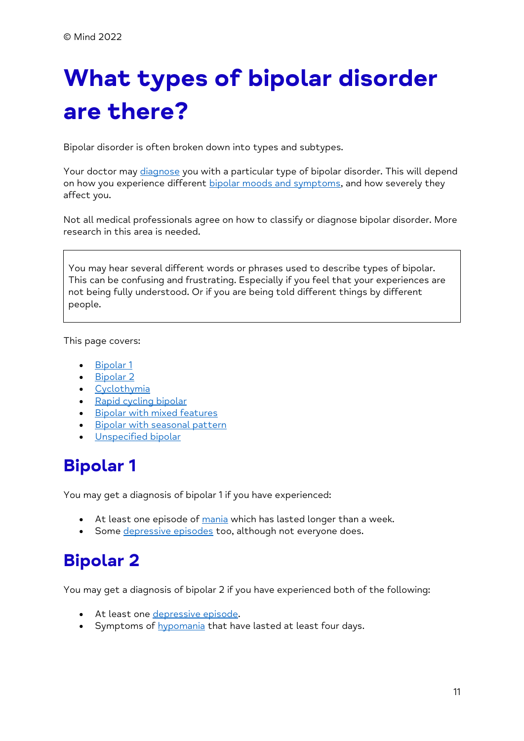# <span id="page-10-0"></span>**What types of bipolar disorder are there?**

Bipolar disorder is often broken down into types and subtypes.

Your doctor may [diagnose](https://www.mind.org.uk/information-support/types-of-mental-health-problems/bipolar-disorder/diagnosing-bipolar/) you with a particular type of bipolar disorder. This will depend on how you experience different [bipolar moods and symptoms,](https://www.mind.org.uk/information-support/types-of-mental-health-problems/bipolar-disorder/bipolar-moods-symptoms/) and how severely they affect you.

Not all medical professionals agree on how to classify or diagnose bipolar disorder. More research in this area is needed.

You may hear several different words or phrases used to describe types of bipolar. This can be confusing and frustrating. Especially if you feel that your experiences are not being fully understood. Or if you are being told different things by different people.

This page covers:

- [Bipolar 1](https://www.mind.org.uk/information-support/types-of-mental-health-problems/bipolar-disorder/types-of-bipolar/#Bipolar1)
- [Bipolar 2](https://www.mind.org.uk/information-support/types-of-mental-health-problems/bipolar-disorder/types-of-bipolar/#Bipolar2)
- [Cyclothymia](https://www.mind.org.uk/information-support/types-of-mental-health-problems/bipolar-disorder/types-of-bipolar/#Cyclothymia)
- [Rapid cycling bipolar](https://www.mind.org.uk/information-support/types-of-mental-health-problems/bipolar-disorder/types-of-bipolar/#RapidCyclingBipolar)
- [Bipolar with mixed features](https://www.mind.org.uk/information-support/types-of-mental-health-problems/bipolar-disorder/types-of-bipolar/#BipolarWithMixedFeatures)
- **[Bipolar with seasonal pattern](https://www.mind.org.uk/information-support/types-of-mental-health-problems/bipolar-disorder/types-of-bipolar/#BipolarWithSeasonalPattern)**
- **[Unspecified bipolar](https://www.mind.org.uk/information-support/types-of-mental-health-problems/bipolar-disorder/types-of-bipolar/#UnspecifiedBipolar)**

## **Bipolar 1**

You may get a diagnosis of bipolar 1 if you have experienced:

- At least one episode of [mania](https://www.mind.org.uk/information-support/types-of-mental-health-problems/bipolar-disorder/bipolar-moods-symptoms/#ManicAndHypomanicEpisodes) which has lasted longer than a week.
- Some [depressive episodes](https://www.mind.org.uk/information-support/types-of-mental-health-problems/bipolar-disorder/bipolar-moods-symptoms/#DepressiveEpisodes) too, although not everyone does.

## **Bipolar 2**

You may get a diagnosis of bipolar 2 if you have experienced both of the following:

- At least one [depressive episode.](https://www.mind.org.uk/information-support/types-of-mental-health-problems/bipolar-disorder/bipolar-moods-symptoms/#DepressiveEpisodes)
- Symptoms of [hypomania](https://www.mind.org.uk/information-support/types-of-mental-health-problems/bipolar-disorder/bipolar-moods-symptoms/#ManicAndHypomanicEpisodes) that have lasted at least four days.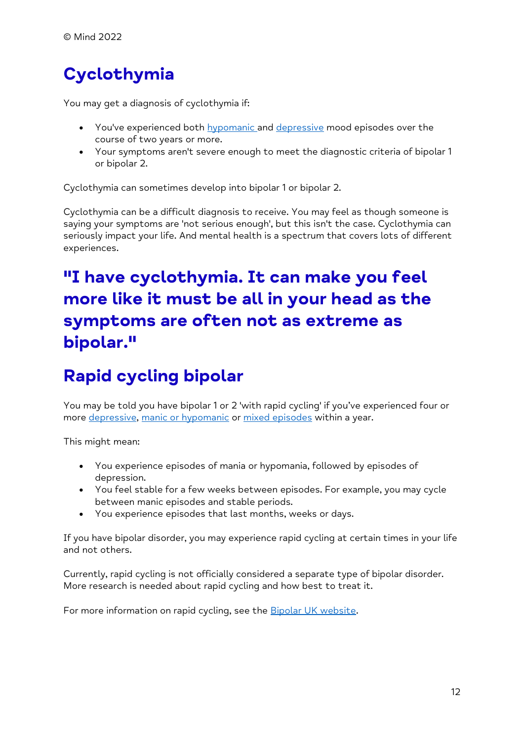# **Cyclothymia**

You may get a diagnosis of cyclothymia if:

- You've experienced both **[hypomanic a](https://www.mind.org.uk/information-support/types-of-mental-health-problems/bipolar-disorder/bipolar-moods-symptoms/#ManicAndHypomanicEpisodes)nd [depressive](https://www.mind.org.uk/information-support/types-of-mental-health-problems/bipolar-disorder/bipolar-moods-symptoms/#DepressiveEpisodes) mood episodes** over the course of two years or more.
- Your symptoms aren't severe enough to meet the diagnostic criteria of bipolar 1 or bipolar 2.

Cyclothymia can sometimes develop into bipolar 1 or bipolar 2.

Cyclothymia can be a difficult diagnosis to receive. You may feel as though someone is saying your symptoms are 'not serious enough', but this isn't the case. Cyclothymia can seriously impact your life. And mental health is a spectrum that covers lots of different experiences.

## **"I have cyclothymia. It can make you feel more like it must be all in your head as the symptoms are often not as extreme as bipolar."**

## **Rapid cycling bipolar**

You may be told you have bipolar 1 or 2 'with rapid cycling' if you've experienced four or more [depressive,](https://www.mind.org.uk/information-support/types-of-mental-health-problems/bipolar-disorder/bipolar-moods-symptoms/#DepressiveEpisodes) [manic or hypomanic](https://www.mind.org.uk/information-support/types-of-mental-health-problems/bipolar-disorder/bipolar-moods-symptoms/#ManicAndHypomanicEpisodes) or [mixed episodes](https://www.mind.org.uk/information-support/types-of-mental-health-problems/bipolar-disorder/bipolar-moods-symptoms/#MixedEpisodes) within a year.

This might mean:

- You experience episodes of mania or hypomania, followed by episodes of depression.
- You feel stable for a few weeks between episodes. For example, you may cycle between manic episodes and stable periods.
- You experience episodes that last months, weeks or days.

If you have bipolar disorder, you may experience rapid cycling at certain times in your life and not others.

Currently, rapid cycling is not officially considered a separate type of bipolar disorder. More research is needed about rapid cycling and how best to treat it.

For more information on rapid cycling, see the **Bipolar UK website**.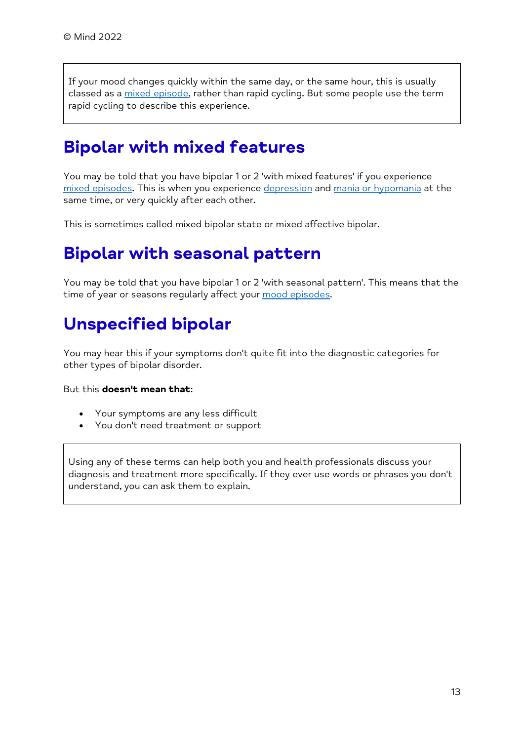If your mood changes quickly within the same day, or the same hour, this is usually classed as a [mixed episode,](https://www.mind.org.uk/information-support/types-of-mental-health-problems/bipolar-disorder/bipolar-moods-symptoms/#MixedEpisodes) rather than rapid cycling. But some people use the term rapid cycling to describe this experience.

#### **Bipolar with mixed features**

You may be told that you have bipolar 1 or 2 'with mixed features' if you experience [mixed episodes.](https://www.mind.org.uk/information-support/types-of-mental-health-problems/bipolar-disorder/bipolar-moods-symptoms/#MixedEpisodes) This is when you experience [depression](https://www.mind.org.uk/information-support/types-of-mental-health-problems/bipolar-disorder/bipolar-moods-symptoms/#DepressiveEpisodes) and [mania or hypomania](https://www.mind.org.uk/information-support/types-of-mental-health-problems/bipolar-disorder/bipolar-moods-symptoms/#ManicAndHypomanicEpisodes) at the same time, or very quickly after each other.

This is sometimes called mixed bipolar state or mixed affective bipolar.

#### **Bipolar with seasonal pattern**

You may be told that you have bipolar 1 or 2 'with seasonal pattern'. This means that the time of year or seasons regularly affect your [mood episodes.](https://www.mind.org.uk/information-support/types-of-mental-health-problems/bipolar-disorder/bipolar-moods-symptoms/)

#### **Unspecified bipolar**

You may hear this if your symptoms don't quite fit into the diagnostic categories for other types of bipolar disorder.

But this **doesn't mean that**:

- Your symptoms are any less difficult
- You don't need treatment or support

<span id="page-12-0"></span>Using any of these terms can help both you and health professionals discuss your diagnosis and treatment more specifically. If they ever use words or phrases you don't understand, you can ask them to explain.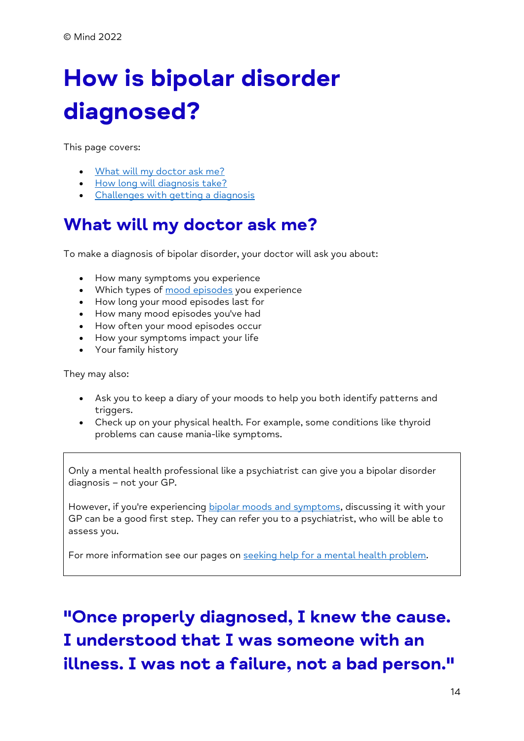# **How is bipolar disorder diagnosed?**

This page covers:

- [What will my doctor ask me?](https://www.mind.org.uk/information-support/types-of-mental-health-problems/bipolar-disorder/diagnosing-bipolar/#WhatWillMyDoctorAskMe)
- [How long will diagnosis take?](https://www.mind.org.uk/information-support/types-of-mental-health-problems/bipolar-disorder/diagnosing-bipolar/#HowLongWillDiagnosisTake)
- [Challenges with getting a diagnosis](https://www.mind.org.uk/information-support/types-of-mental-health-problems/bipolar-disorder/diagnosing-bipolar/#ChallengesWithGettingADiagnosis)

## **What will my doctor ask me?**

To make a diagnosis of bipolar disorder, your doctor will ask you about:

- How many symptoms you experience
- Which types of [mood episodes](https://www.mind.org.uk/information-support/types-of-mental-health-problems/bipolar-disorder/bipolar-moods-symptoms/) you experience
- How long your mood episodes last for
- How many mood episodes you've had
- How often your mood episodes occur
- How your symptoms impact your life
- Your family history

They may also:

- Ask you to keep a diary of your moods to help you both identify patterns and triggers.
- Check up on your physical health. For example, some conditions like thyroid problems can cause mania-like symptoms.

Only a mental health professional like a psychiatrist can give you a bipolar disorder diagnosis – not your GP.

However, if you're experiencing [bipolar moods and symptoms,](https://www.mind.org.uk/information-support/types-of-mental-health-problems/bipolar-disorder/bipolar-moods-symptoms/) discussing it with your GP can be a good first step. They can refer you to a psychiatrist, who will be able to assess you.

For more information see our pages on [seeking help for a mental health problem.](https://www.mind.org.uk/information-support/guides-to-support-and-services/seeking-help-for-a-mental-health-problem/)

# **"Once properly diagnosed, I knew the cause. I understood that I was someone with an illness. I was not a failure, not a bad person."**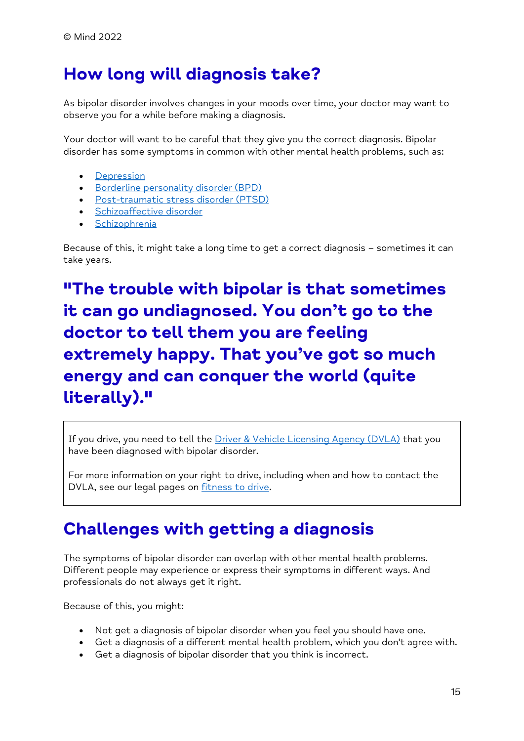### **How long will diagnosis take?**

As bipolar disorder involves changes in your moods over time, your doctor may want to observe you for a while before making a diagnosis.

Your doctor will want to be careful that they give you the correct diagnosis. Bipolar disorder has some symptoms in common with other mental health problems, such as:

- [Depression](https://www.mind.org.uk/information-support/types-of-mental-health-problems/depression/)
- [Borderline personality disorder \(BPD\)](https://www.mind.org.uk/information-support/types-of-mental-health-problems/borderline-personality-disorder-bpd/)
- [Post-traumatic stress disorder \(PTSD\)](https://www.mind.org.uk/information-support/types-of-mental-health-problems/post-traumatic-stress-disorder-ptsd-and-complex-ptsd/about-ptsd/)
- [Schizoaffective disorder](https://www.mind.org.uk/information-support/types-of-mental-health-problems/schizoaffective-disorder/)
- [Schizophrenia](https://www.mind.org.uk/information-support/types-of-mental-health-problems/schizophrenia/)

Because of this, it might take a long time to get a correct diagnosis – sometimes it can take years.

**"The trouble with bipolar is that sometimes it can go undiagnosed. You don't go to the doctor to tell them you are feeling extremely happy. That you've got so much energy and can conquer the world (quite literally)."**

If you drive, you need to tell the [Driver & Vehicle Licensing Agency \(DVLA\)](https://reusable.mind.org.uk/legal-glossary/#DriverAndVehicleLicensingAgency) that you have been diagnosed with bipolar disorder.

For more information on your right to drive, including when and how to contact the DVLA, see our legal pages on [fitness to drive.](https://www.mind.org.uk/information-support/legal-rights/fitness-to-drive/)

#### **Challenges with getting a diagnosis**

The symptoms of bipolar disorder can overlap with other mental health problems. Different people may experience or express their symptoms in different ways. And professionals do not always get it right.

Because of this, you might:

- Not get a diagnosis of bipolar disorder when you feel you should have one.
- Get a diagnosis of a different mental health problem, which you don't agree with.
- Get a diagnosis of bipolar disorder that you think is incorrect.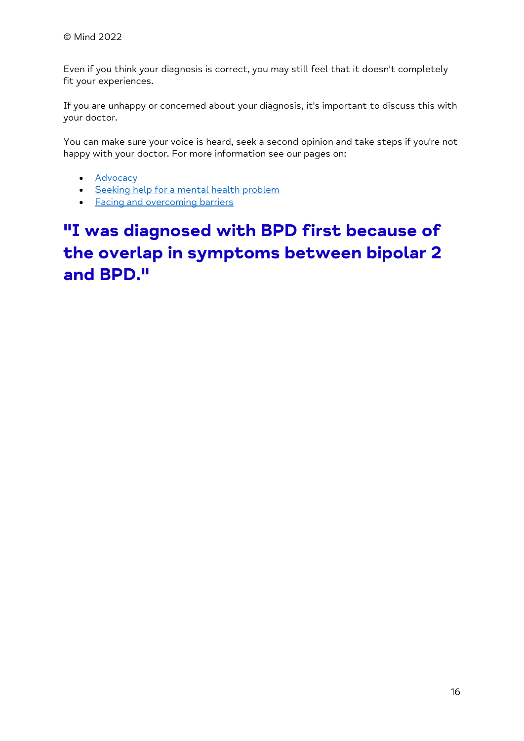Even if you think your diagnosis is correct, you may still feel that it doesn't completely fit your experiences.

If you are unhappy or concerned about your diagnosis, it's important to discuss this with your doctor.

You can make sure your voice is heard, seek a second opinion and take steps if you're not happy with your doctor. For more information see our pages on:

- [Advocacy](https://www.mind.org.uk/information-support/guides-to-support-and-services/advocacy/)
- [Seeking help for a mental health problem](https://www.mind.org.uk/information-support/guides-to-support-and-services/seeking-help-for-a-mental-health-problem/)
- [Facing and overcoming barriers](https://www.mind.org.uk/information-support/guides-to-support-and-services/seeking-help-for-a-mental-health-problem/facing-overcoming-barriers/)

## **"I was diagnosed with BPD first because of the overlap in symptoms between bipolar 2 and BPD."**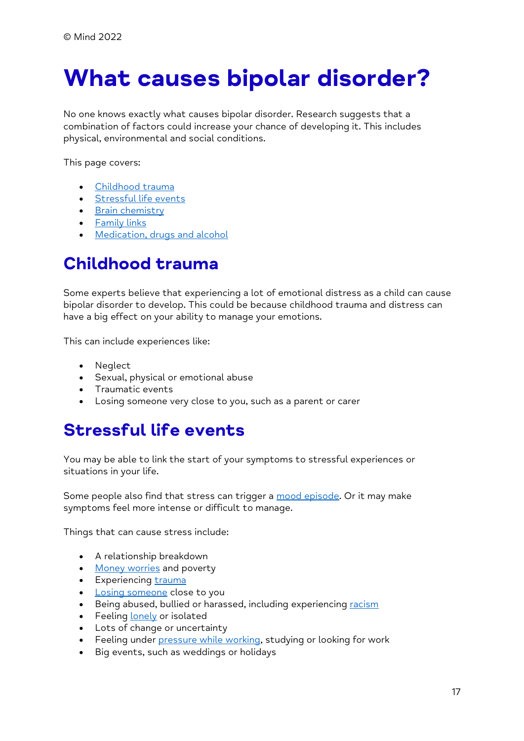# <span id="page-16-0"></span>**What causes bipolar disorder?**

No one knows exactly what causes bipolar disorder. Research suggests that a combination of factors could increase your chance of developing it. This includes physical, environmental and social conditions.

This page covers:

- [Childhood trauma](https://www.mind.org.uk/information-support/types-of-mental-health-problems/bipolar-disorder/causes-of-bipolar/#ChildhoodTrauma)
- [Stressful life events](https://www.mind.org.uk/information-support/types-of-mental-health-problems/bipolar-disorder/causes-of-bipolar/#StressfulLifeEvents)
- [Brain chemistry](https://www.mind.org.uk/information-support/types-of-mental-health-problems/bipolar-disorder/causes-of-bipolar/#BrainChemistry)
- [Family links](https://www.mind.org.uk/information-support/types-of-mental-health-problems/bipolar-disorder/causes-of-bipolar/#FamilyLinks)
- [Medication, drugs and alcohol](https://www.mind.org.uk/information-support/types-of-mental-health-problems/bipolar-disorder/causes-of-bipolar/#MedicationDrugsAndAlcohol)

#### **Childhood trauma**

Some experts believe that experiencing a lot of emotional distress as a child can cause bipolar disorder to develop. This could be because childhood trauma and distress can have a big effect on your ability to manage your emotions.

This can include experiences like:

- Neglect
- Sexual, physical or emotional abuse
- Traumatic events
- Losing someone very close to you, such as a parent or carer

## **Stressful life events**

You may be able to link the start of your symptoms to stressful experiences or situations in your life.

Some people also find that stress can trigger a [mood episode.](https://www.mind.org.uk/information-support/types-of-mental-health-problems/bipolar-disorder/bipolar-moods-symptoms/) Or it may make symptoms feel more intense or difficult to manage.

Things that can cause stress include:

- A relationship breakdown
- [Money worries](https://www.mind.org.uk/information-support/tips-for-everyday-living/money-and-mental-health/) and poverty
- Experiencing [trauma](https://www.mind.org.uk/information-support/types-of-mental-health-problems/trauma/about-trauma/)
- [Losing someone](https://www.mind.org.uk/information-support/guides-to-support-and-services/bereavement/about-bereavement/) close to you
- Being abused, bullied or harassed, including experiencing [racism](https://www.mind.org.uk/information-support/tips-for-everyday-living/racism-and-mental-health/)
- Feeling [lonely](https://www.mind.org.uk/information-support/tips-for-everyday-living/loneliness/about-loneliness/) or isolated
- Lots of change or uncertainty
- Feeling under [pressure while working,](https://www.mind.org.uk/information-support/tips-for-everyday-living/how-to-be-mentally-healthy-at-work/work-and-mental-health/) studying or looking for work
- Big events, such as weddings or holidays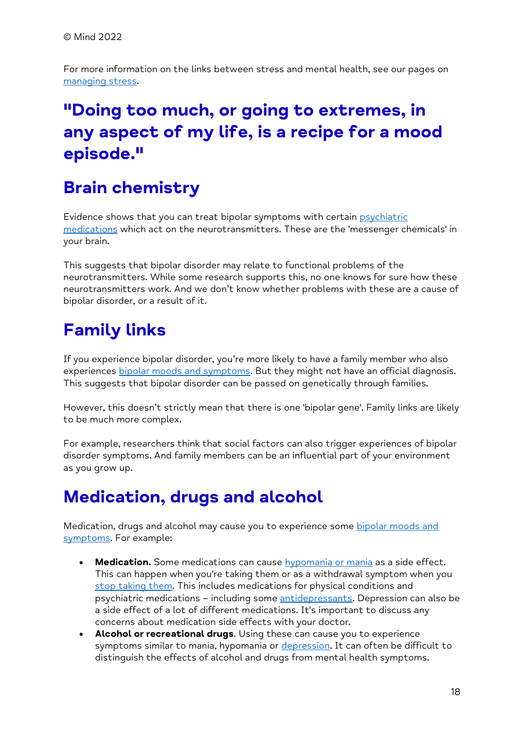For more information on the links between stress and mental health, see our pages on [managing stress.](https://www.mind.org.uk/information-support/types-of-mental-health-problems/stress/)

## **"Doing too much, or going to extremes, in any aspect of my life, is a recipe for a mood episode."**

## **Brain chemistry**

Evidence shows that you can treat bipolar symptoms with certain [psychiatric](https://www.mind.org.uk/information-support/drugs-and-treatments/medication/)  [medications](https://www.mind.org.uk/information-support/drugs-and-treatments/medication/) which act on the neurotransmitters. These are the 'messenger chemicals' in your brain.

This suggests that bipolar disorder may relate to functional problems of the neurotransmitters. While some research supports this, no one knows for sure how these neurotransmitters work. And we don't know whether problems with these are a cause of bipolar disorder, or a result of it.

## **Family links**

If you experience bipolar disorder, you're more likely to have a family member who also experiences [bipolar moods and symptoms.](https://www.mind.org.uk/information-support/types-of-mental-health-problems/bipolar-disorder/bipolar-moods-symptoms/) But they might not have an official diagnosis. This suggests that bipolar disorder can be passed on genetically through families.

However, this doesn't strictly mean that there is one 'bipolar gene'. Family links are likely to be much more complex.

For example, researchers think that social factors can also trigger experiences of bipolar disorder symptoms. And family members can be an influential part of your environment as you grow up.

## **Medication, drugs and alcohol**

Medication, drugs and alcohol may cause you to experience some bipolar moods and [symptoms.](https://www.mind.org.uk/information-support/types-of-mental-health-problems/bipolar-disorder/bipolar-moods-symptoms/) For example:

- Medication. Some medications can cause **[hypomania or mania](https://www.mind.org.uk/information-support/types-of-mental-health-problems/bipolar-disorder/bipolar-moods-symptoms/#ManicAndHypomanicEpisodes)** as a side effect. This can happen when you're taking them or as a withdrawal symptom when you [stop taking them.](https://www.mind.org.uk/information-support/drugs-and-treatments/medication/coming-off-medication/) This includes medications for physical conditions and psychiatric medications – including some [antidepressants.](https://www.mind.org.uk/information-support/drugs-and-treatments/antidepressants/about-antidepressants/) Depression can also be a side effect of a lot of different medications. It's important to discuss any concerns about medication side effects with your doctor.
- **Alcohol or recreational drugs**. Using these can cause you to experience symptoms similar to mania, hypomania or [depression.](https://www.mind.org.uk/information-support/types-of-mental-health-problems/bipolar-disorder/bipolar-moods-symptoms/#DepressiveEpisodes) It can often be difficult to distinguish the effects of alcohol and drugs from mental health symptoms.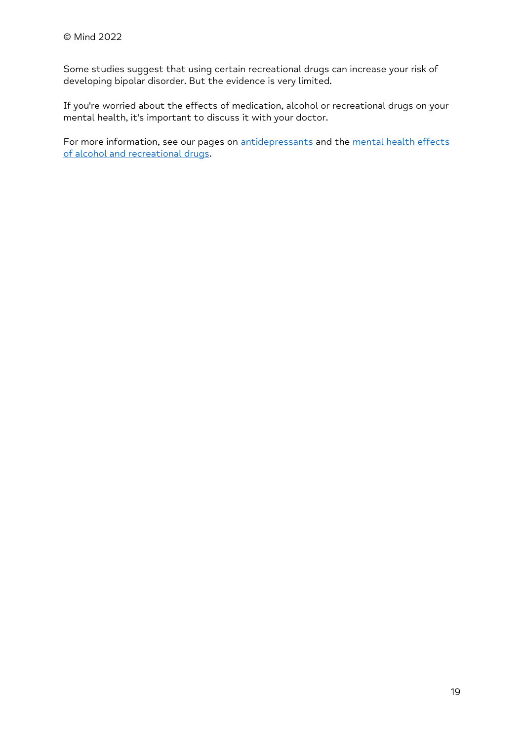Some studies suggest that using certain recreational drugs can increase your risk of developing bipolar disorder. But the evidence is very limited.

If you're worried about the effects of medication, alcohol or recreational drugs on your mental health, it's important to discuss it with your doctor.

For more information, see our pages on [antidepressants](https://www.mind.org.uk/information-support/drugs-and-treatments/antidepressants/) and the mental health effects [of alcohol and recreational drugs.](https://www.mind.org.uk/information-support/types-of-mental-health-problems/drugs-recreational-drugs-alcohol/)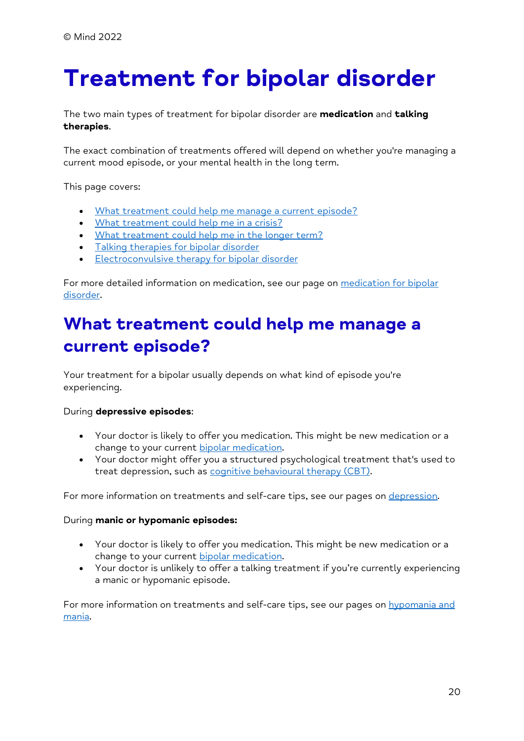# <span id="page-19-0"></span>**Treatment for bipolar disorder**

The two main types of treatment for bipolar disorder are **medication** and **talking therapies**.

The exact combination of treatments offered will depend on whether you're managing a current mood episode, or your mental health in the long term.

This page covers:

- [What treatment could help me manage a current episode?](https://www.mind.org.uk/information-support/types-of-mental-health-problems/bipolar-disorder/treatment-for-bipolar/#WhatTreatmentCouldHelpMeManageACurrentEpisode)
- [What treatment could help me in a crisis?](https://www.mind.org.uk/information-support/types-of-mental-health-problems/bipolar-disorder/treatment-for-bipolar/#WhatTreatmentCouldHelpMeInACrisis)
- [What treatment could help](https://www.mind.org.uk/information-support/types-of-mental-health-problems/bipolar-disorder/treatment-for-bipolar/#WhatTreatmentCouldHelpMeInTheLongerTerm) me in the longer term?
- [Talking therapies for bipolar disorder](https://www.mind.org.uk/information-support/types-of-mental-health-problems/bipolar-disorder/treatment-for-bipolar/#TalkingTherapiesForBipolarDisorder)
- [Electroconvulsive therapy for bipolar disorder](https://www.mind.org.uk/information-support/types-of-mental-health-problems/bipolar-disorder/treatment-for-bipolar/#ElectroconvulsiveTherapyForBipolarDisorder)

For more detailed information on medication, see our page on medication for bipolar [disorder.](https://www.mind.org.uk/information-support/types-of-mental-health-problems/bipolar-disorder/medication-for-bipolar/)

#### **What treatment could help me manage a current episode?**

Your treatment for a bipolar usually depends on what kind of episode you're experiencing.

#### During **depressive episodes**:

- Your doctor is likely to offer you medication. This might be new medication or a change to your current [bipolar medication.](https://www.mind.org.uk/information-support/types-of-mental-health-problems/bipolar-disorder/medication-for-bipolar/)
- Your doctor might offer you a structured psychological treatment that's used to treat depression, such as [cognitive behavioural therapy \(CBT\).](https://www.mind.org.uk/information-support/drugs-and-treatments/talking-therapy-and-counselling/cognitive-behavioural-therapy-cbt/)

For more information on treatments and self-care tips, see our pages on [depression.](https://www.mind.org.uk/information-support/types-of-mental-health-problems/depression/)

#### During **manic or hypomanic episodes:**

- Your doctor is likely to offer you medication. This might be new medication or a change to your current [bipolar medication.](https://www.mind.org.uk/information-support/types-of-mental-health-problems/bipolar-disorder/medication-for-bipolar/)
- Your doctor is unlikely to offer a talking treatment if you're currently experiencing a manic or hypomanic episode.

For more information on treatments and self-care tips, see our pages on hypomania and [mania.](https://www.mind.org.uk/information-support/types-of-mental-health-problems/hypomania-and-mania/)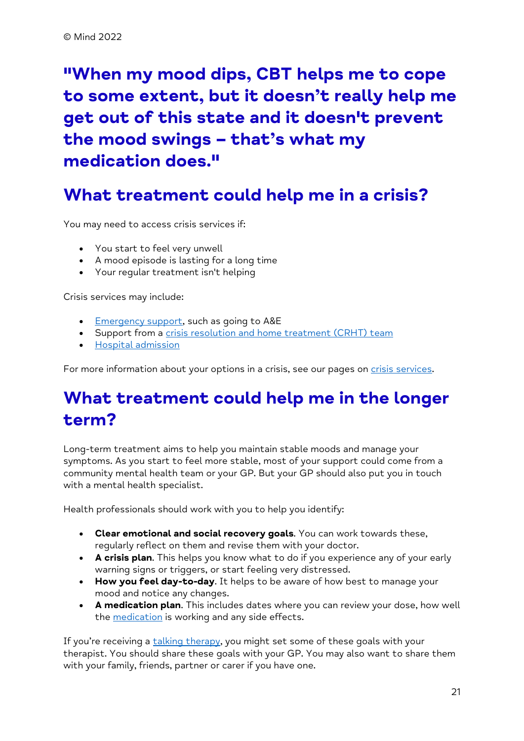**"When my mood dips, CBT helps me to cope to some extent, but it doesn't really help me get out of this state and it doesn't prevent the mood swings – that's what my medication does."**

#### **What treatment could help me in a crisis?**

You may need to access crisis services if:

- You start to feel very unwell
- A mood episode is lasting for a long time
- Your regular treatment isn't helping

Crisis services may include:

- [Emergency support,](https://www.mind.org.uk/information-support/guides-to-support-and-services/crisis-services/accident-emergency-ae/) such as going to A&E
- Support from a [crisis resolution and home treatment \(CRHT\) team](https://www.mind.org.uk/information-support/guides-to-support-and-services/crisis-services/crisis-teams-crhts/)
- [Hospital admission](https://www.mind.org.uk/information-support/guides-to-support-and-services/crisis-services/treatment-in-hospital/)

For more information about your options in a crisis, see our pages on [crisis services.](https://www.mind.org.uk/information-support/guides-to-support-and-services/crisis-services/)

## **What treatment could help me in the longer term?**

Long-term treatment aims to help you maintain stable moods and manage your symptoms. As you start to feel more stable, most of your support could come from a community mental health team or your GP. But your GP should also put you in touch with a mental health specialist.

Health professionals should work with you to help you identify:

- **Clear emotional and social recovery goals**. You can work towards these, regularly reflect on them and revise them with your doctor.
- **A crisis plan**. This helps you know what to do if you experience any of your early warning signs or triggers, or start feeling very distressed.
- **How you feel day-to-day**. It helps to be aware of how best to manage your mood and notice any changes.
- **A medication plan**. This includes dates where you can review your dose, how well the [medication](https://www.mind.org.uk/information-support/types-of-mental-health-problems/bipolar-disorder/medication-for-bipolar/) is working and any side effects.

If you're receiving a [talking therapy,](https://www.mind.org.uk/information-support/types-of-mental-health-problems/bipolar-disorder/treatment-for-bipolar/#TalkingTherapiesForBipolarDisorder) you might set some of these goals with your therapist. You should share these goals with your GP. You may also want to share them with your family, friends, partner or carer if you have one.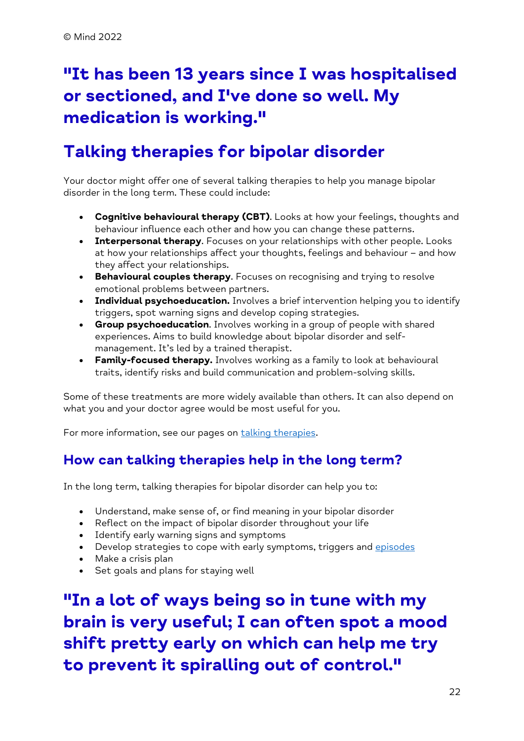## **"It has been 13 years since I was hospitalised or sectioned, and I've done so well. My medication is working."**

## **Talking therapies for bipolar disorder**

Your doctor might offer one of several talking therapies to help you manage bipolar disorder in the long term. These could include:

- **Cognitive behavioural therapy (CBT)**. Looks at how your feelings, thoughts and behaviour influence each other and how you can change these patterns.
- **Interpersonal therapy**. Focuses on your relationships with other people. Looks at how your relationships affect your thoughts, feelings and behaviour – and how they affect your relationships.
- **Behavioural couples therapy**. Focuses on recognising and trying to resolve emotional problems between partners.
- **Individual psychoeducation.** Involves a brief intervention helping you to identify triggers, spot warning signs and develop coping strategies.
- **Group psychoeducation**. Involves working in a group of people with shared experiences. Aims to build knowledge about bipolar disorder and selfmanagement. It's led by a trained therapist.
- **Family-focused therapy.** Involves working as a family to look at behavioural traits, identify risks and build communication and problem-solving skills.

Some of these treatments are more widely available than others. It can also depend on what you and your doctor agree would be most useful for you.

For more information, see our pages on [talking therapies.](https://www.mind.org.uk/information-support/drugs-and-treatments/talking-therapy-and-counselling/)

#### **How can talking therapies help in the long term?**

In the long term, talking therapies for bipolar disorder can help you to:

- Understand, make sense of, or find meaning in your bipolar disorder
- Reflect on the impact of bipolar disorder throughout your life
- Identify early warning signs and symptoms
- Develop strategies to cope with early symptoms, triggers and [episodes](https://www.mind.org.uk/information-support/types-of-mental-health-problems/bipolar-disorder/bipolar-moods-symptoms/)
- Make a crisis plan
- Set goals and plans for staying well

**"In a lot of ways being so in tune with my brain is very useful; I can often spot a mood shift pretty early on which can help me try to prevent it spiralling out of control."**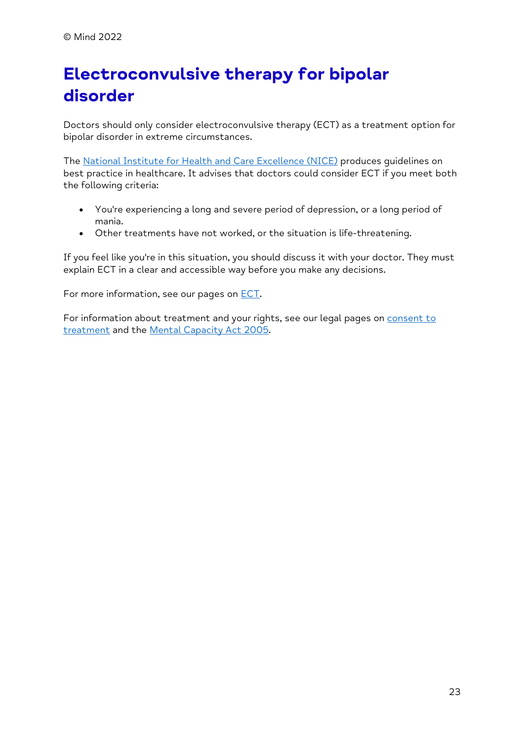## **Electroconvulsive therapy for bipolar disorder**

Doctors should only consider electroconvulsive therapy (ECT) as a treatment option for bipolar disorder in extreme circumstances.

The [National Institute for Health and Care Excellence \(NICE\)](https://www.nice.org.uk/) produces guidelines on best practice in healthcare. It advises that doctors could consider ECT if you meet both the following criteria:

- You're experiencing a long and severe period of depression, or a long period of mania.
- Other treatments have not worked, or the situation is life-threatening.

If you feel like you're in this situation, you should discuss it with your doctor. They must explain ECT in a clear and accessible way before you make any decisions.

For more information, see our pages on [ECT.](https://www.mind.org.uk/information-support/drugs-and-treatments/electroconvulsive-therapy-ect/)

For information about treatment and your rights, see our legal pages on **consent to** [treatment](https://www.mind.org.uk/information-support/legal-rights/consent-to-treatment/) and the [Mental Capacity Act 2005.](https://www.mind.org.uk/information-support/legal-rights/mental-capacity-act-2005/)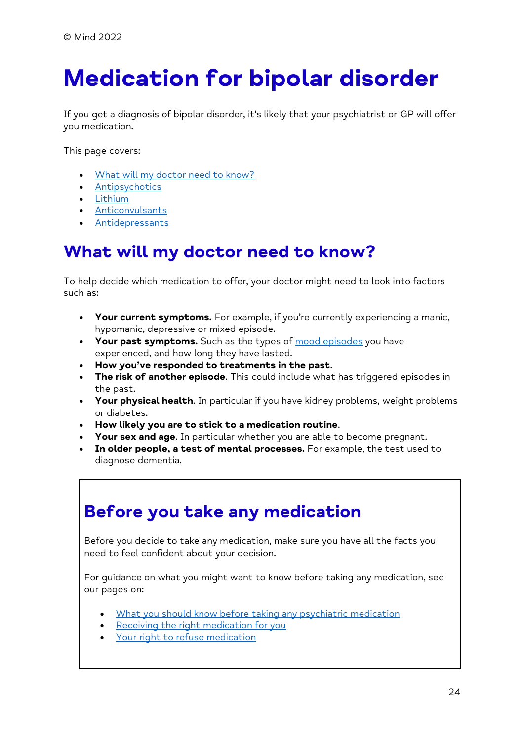# <span id="page-23-0"></span>**Medication for bipolar disorder**

If you get a diagnosis of bipolar disorder, it's likely that your psychiatrist or GP will offer you medication.

This page covers:

- [What will my doctor need to know?](https://www.mind.org.uk/information-support/types-of-mental-health-problems/bipolar-disorder/medication-for-bipolar/#WhatWillMyDoctorNeedToKnow)
- [Antipsychotics](https://www.mind.org.uk/information-support/types-of-mental-health-problems/bipolar-disorder/medication-for-bipolar/#AntipsychoticsForBipolarDisorder)
- [Lithium](https://www.mind.org.uk/information-support/types-of-mental-health-problems/bipolar-disorder/medication-for-bipolar/#LithiumForBipolarDisorder)
- [Anticonvulsants](https://www.mind.org.uk/information-support/types-of-mental-health-problems/bipolar-disorder/medication-for-bipolar/#AnticonvulsantsForBipolarDisorder)
- **[Antidepressants](https://www.mind.org.uk/information-support/types-of-mental-health-problems/bipolar-disorder/medication-for-bipolar/#AntidepressantsForBipolarDisorder)**

#### **What will my doctor need to know?**

To help decide which medication to offer, your doctor might need to look into factors such as:

- **Your current symptoms.** For example, if you're currently experiencing a manic, hypomanic, depressive or mixed episode.
- **Your past symptoms.** Such as the types of [mood episodes](https://www.mind.org.uk/information-support/types-of-mental-health-problems/bipolar-disorder/bipolar-moods-symptoms/) you have experienced, and how long they have lasted.
- **How you've responded to treatments in the past**.
- **The risk of another episode**. This could include what has triggered episodes in the past.
- **Your physical health**. In particular if you have kidney problems, weight problems or diabetes.
- **How likely you are to stick to a medication routine**.
- **Your sex and age**. In particular whether you are able to become pregnant.
- **In older people, a test of mental processes.** For example, the test used to diagnose dementia.

#### **Before you take any medication**

Before you decide to take any medication, make sure you have all the facts you need to feel confident about your decision.

For guidance on what you might want to know before taking any medication, see our pages on:

- [What you should know before taking any psychiatric medication](https://www.mind.org.uk/information-support/drugs-and-treatments/medication/before-taking-medication/)
- [Receiving the right medication for you](https://www.mind.org.uk/information-support/drugs-and-treatments/medication/receiving-the-right-medication/)
- [Your right to refuse medication](https://www.mind.org.uk/information-support/drugs-and-treatments/medication/your-right-to-refuse-medication/)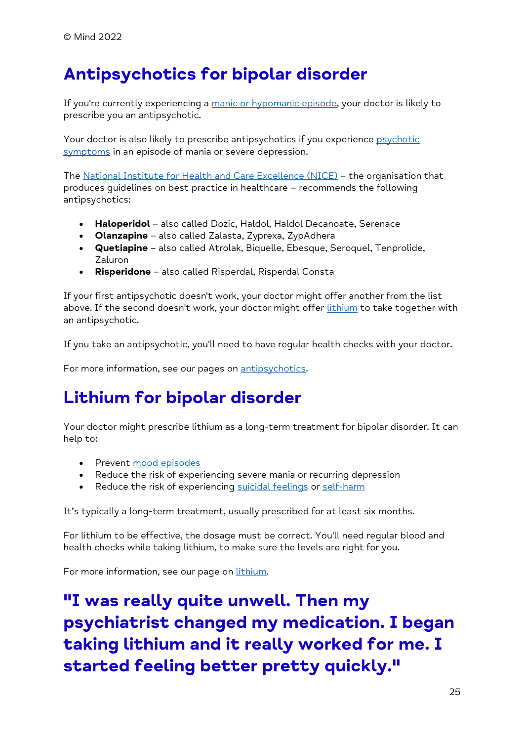## **Antipsychotics for bipolar disorder**

If you're currently experiencing a [manic or hypomanic episode,](https://www.mind.org.uk/information-support/types-of-mental-health-problems/bipolar-disorder/bipolar-moods-symptoms/#ManicAndHypomanicEpisodes) your doctor is likely to prescribe you an antipsychotic.

Your doctor is also likely to prescribe antipsychotics if you experience psychotic [symptoms](https://www.mind.org.uk/information-support/types-of-mental-health-problems/bipolar-disorder/bipolar-moods-symptoms/#PsychoticSymptoms) in an episode of mania or severe depression.

The [National Institute for Health and Care Excellence \(NICE\)](https://www.nice.org.uk/guidance/CG185) – the organisation that produces guidelines on best practice in healthcare – recommends the following antipsychotics:

- **Haloperidol** also called Dozic, Haldol, Haldol Decanoate, Serenace
- **Olanzapine** also called Zalasta, Zyprexa, ZypAdhera
- **Quetiapine** also called Atrolak, Biquelle, Ebesque, Seroquel, Tenprolide, Zaluron
- **Risperidone** also called Risperdal, Risperdal Consta

If your first antipsychotic doesn't work, your doctor might offer another from the list above. If the second doesn't work, your doctor might offer [lithium](https://www.mind.org.uk/information-support/types-of-mental-health-problems/bipolar-disorder/medication-for-bipolar/#LithiumForBipolarDisorder) to take together with an antipsychotic.

If you take an antipsychotic, you'll need to have regular health checks with your doctor.

For more information, see our pages on [antipsychotics.](https://www.mind.org.uk/information-support/drugs-and-treatments/antipsychotics/)

#### **Lithium for bipolar disorder**

Your doctor might prescribe lithium as a long-term treatment for bipolar disorder. It can help to:

- Prevent [mood episodes](https://www.mind.org.uk/information-support/types-of-mental-health-problems/bipolar-disorder/bipolar-moods-symptoms/)
- Reduce the risk of experiencing severe mania or recurring depression
- Reduce the risk of experiencing [suicidal feelings](https://www.mind.org.uk/information-support/types-of-mental-health-problems/suicidal-feelings/) or [self-harm](https://www.mind.org.uk/information-support/types-of-mental-health-problems/self-harm/about-self-harm/)

It's typically a long-term treatment, usually prescribed for at least six months.

For lithium to be effective, the dosage must be correct. You'll need regular blood and health checks while taking lithium, to make sure the levels are right for you.

For more information, see our page on [lithium.](https://www.mind.org.uk/information-support/drugs-and-treatments/lithium-and-other-mood-stabilisers/lithium/)

**"I was really quite unwell. Then my psychiatrist changed my medication. I began taking lithium and it really worked for me. I started feeling better pretty quickly."**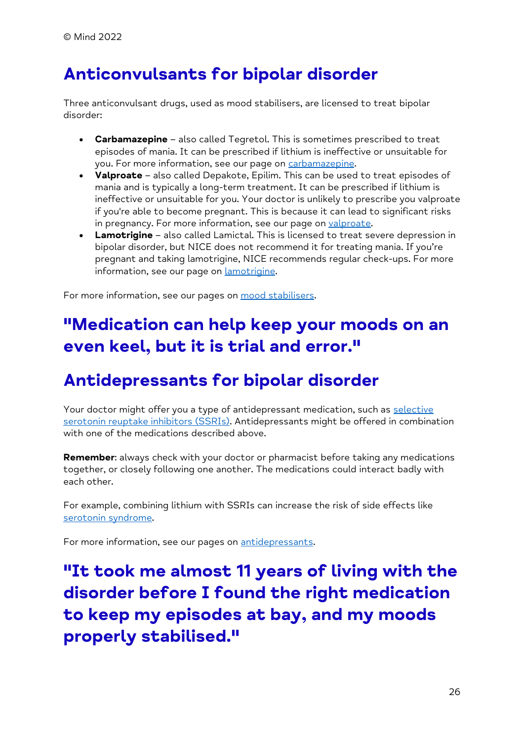## **Anticonvulsants for bipolar disorder**

Three anticonvulsant drugs, used as mood stabilisers, are licensed to treat bipolar disorder:

- **Carbamazepine**  also called Tegretol. This is sometimes prescribed to treat episodes of mania. It can be prescribed if lithium is ineffective or unsuitable for you. For more information, see our page on [carbamazepine.](https://www.mind.org.uk/information-support/drugs-and-treatments/lithium-and-other-mood-stabilisers/carbamazepine/)
- **Valproate**  also called Depakote, Epilim. This can be used to treat episodes of mania and is typically a long-term treatment. It can be prescribed if lithium is ineffective or unsuitable for you. Your doctor is unlikely to prescribe you valproate if you're able to become pregnant. This is because it can lead to significant risks in pregnancy. For more information, see our page on [valproate.](https://www.mind.org.uk/information-support/drugs-and-treatments/lithium-and-other-mood-stabilisers/valproate/)
- **Lamotrigine** also called Lamictal. This is licensed to treat severe depression in bipolar disorder, but NICE does not recommend it for treating mania. If you're pregnant and taking lamotrigine, NICE recommends regular check-ups. For more information, see our page on **lamotrigine**.

For more information, see our pages on [mood stabilisers.](https://www.mind.org.uk/information-support/drugs-and-treatments/lithium-and-other-mood-stabilisers/)

## **"Medication can help keep your moods on an even keel, but it is trial and error."**

#### **Antidepressants for bipolar disorder**

Your doctor might offer you a type of antidepressant medication, such as selective [serotonin reuptake inhibitors \(SSRIs\).](https://www.mind.org.uk/information-support/drugs-and-treatments/antidepressants/about-antidepressants/#SelectiveSerotoninReuptakeInhibitorsSSRIs) Antidepressants might be offered in combination with one of the medications described above

**Remember**: always check with your doctor or pharmacist before taking any medications together, or closely following one another. The medications could interact badly with each other.

For example, combining lithium with SSRIs can increase the risk of side effects like [serotonin syndrome.](https://www.mind.org.uk/information-support/drugs-and-treatments/antidepressants/side-effects-of-antidepressants/#SerotoninSyndrome)

For more information, see our pages on [antidepressants.](https://www.mind.org.uk/information-support/drugs-and-treatments/antidepressants/)

**"It took me almost 11 years of living with the disorder before I found the right medication to keep my episodes at bay, and my moods properly stabilised."**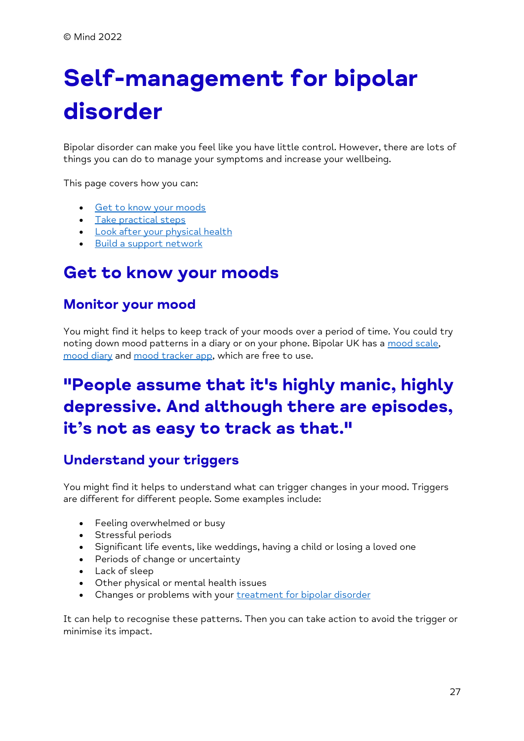# <span id="page-26-0"></span>**Self-management for bipolar disorder**

Bipolar disorder can make you feel like you have little control. However, there are lots of things you can do to manage your symptoms and increase your wellbeing.

This page covers how you can:

- [Get to know your moods](https://www.mind.org.uk/information-support/types-of-mental-health-problems/bipolar-disorder/self-managing-bipolar/#GetToKnowYourMoods)
- [Take practical steps](https://www.mind.org.uk/information-support/types-of-mental-health-problems/bipolar-disorder/self-managing-bipolar/#TakePracticalSteps)
- [Look after your physical health](https://www.mind.org.uk/information-support/types-of-mental-health-problems/bipolar-disorder/self-managing-bipolar/#LookAfterYourPhysicalHealth)
- [Build a support network](https://www.mind.org.uk/information-support/types-of-mental-health-problems/bipolar-disorder/self-managing-bipolar/#BuildASupportNetwork)

#### **Get to know your moods**

#### **Monitor your mood**

You might find it helps to keep track of your moods over a period of time. You could try noting down mood patterns in a diary or on your phone. Bipolar UK has a [mood scale,](https://www.bipolaruk.org/faqs/mood-scale) [mood diary](https://www.bipolaruk.org/FAQs/mood-diary) and [mood tracker app,](https://www.bipolaruk.org/blog/bipolar-uks-mood-tracker-app) which are free to use.

## **"People assume that it's highly manic, highly depressive. And although there are episodes, it's not as easy to track as that."**

#### **Understand your triggers**

You might find it helps to understand what can trigger changes in your mood. Triggers are different for different people. Some examples include:

- Feeling overwhelmed or busy
- Stressful periods
- Significant life events, like weddings, having a child or losing a loved one
- Periods of change or uncertainty
- Lack of sleep
- Other physical or mental health issues
- Changes or problems with your [treatment for bipolar disorder](https://www.mind.org.uk/information-support/types-of-mental-health-problems/bipolar-disorder/treatment-for-bipolar/)

It can help to recognise these patterns. Then you can take action to avoid the trigger or minimise its impact.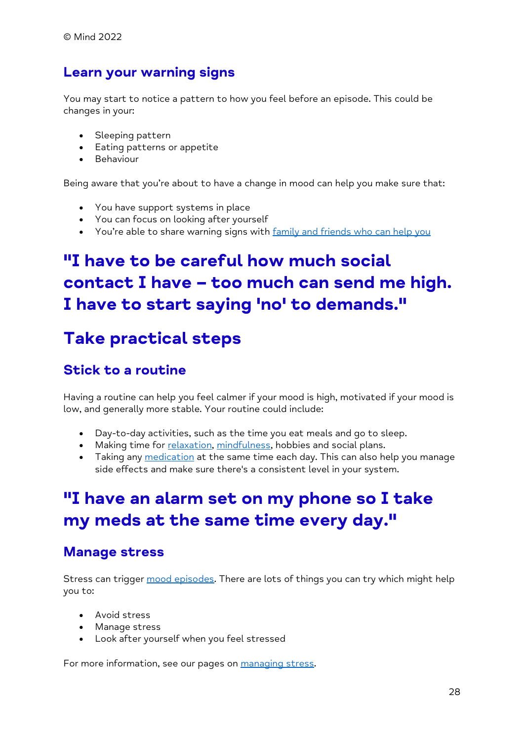#### **Learn your warning signs**

You may start to notice a pattern to how you feel before an episode. This could be changes in your:

- Sleeping pattern
- Eating patterns or appetite
- Behaviour

Being aware that you're about to have a change in mood can help you make sure that:

- You have support systems in place
- You can focus on looking after yourself
- You're able to share warning signs with [family and friends who can help you](https://www.mind.org.uk/information-support/types-of-mental-health-problems/bipolar-disorder/supporting-someone-with-bipolar/)

## **"I have to be careful how much social contact I have – too much can send me high. I have to start saying 'no' to demands."**

#### **Take practical steps**

#### **Stick to a routine**

Having a routine can help you feel calmer if your mood is high, motivated if your mood is low, and generally more stable. Your routine could include:

- Day-to-day activities, such as the time you eat meals and go to sleep.
- Making time for [relaxation,](https://www.mind.org.uk/information-support/tips-for-everyday-living/relaxation/) [mindfulness,](https://www.mind.org.uk/information-support/drugs-and-treatments/mindfulness/) hobbies and social plans.
- Taking any [medication](https://www.mind.org.uk/information-support/types-of-mental-health-problems/bipolar-disorder/medication-for-bipolar/) at the same time each day. This can also help you manage side effects and make sure there's a consistent level in your system.

### **"I have an alarm set on my phone so I take my meds at the same time every day."**

#### **Manage stress**

Stress can trigger [mood episodes.](https://www.mind.org.uk/information-support/types-of-mental-health-problems/bipolar-disorder/bipolar-moods-symptoms/) There are lots of things you can try which might help you to:

- Avoid stress
- Manage stress
- Look after yourself when you feel stressed

For more information, see our pages on [managing stress.](https://www.mind.org.uk/information-support/types-of-mental-health-problems/stress/)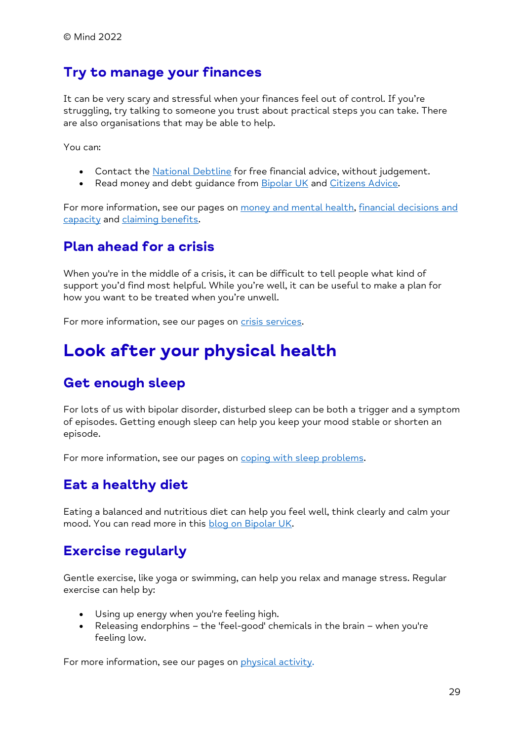#### **Try to manage your finances**

It can be very scary and stressful when your finances feel out of control. If you're struggling, try talking to someone you trust about practical steps you can take. There are also organisations that may be able to help.

You can:

- Contact the [National Debtline](https://www.nationaldebtline.org/) for free financial advice, without judgement.
- Read money and debt guidance from [Bipolar UK](https://www.bipolaruk.org/pages/faqs/category/money-and-debt) and [Citizens Advice.](https://www.citizensadvice.org.uk/debt-and-money/)

For more information, see our pages on [money and mental health,](https://www.mind.org.uk/information-support/tips-for-everyday-living/money-and-mental-health/) financial decisions and [capacity](https://www.mind.org.uk/information-support/legal-rights/mental-capacity-act-2005/financial-decisions/) and [claiming benefits.](https://www.mind.org.uk/information-support/tips-for-everyday-living/money-and-mental-health/claiming-benefits/)

#### **Plan ahead for a crisis**

When you're in the middle of a crisis, it can be difficult to tell people what kind of support you'd find most helpful. While you're well, it can be useful to make a plan for how you want to be treated when you're unwell.

For more information, see our pages on [crisis services.](https://www.mind.org.uk/information-support/guides-to-support-and-services/crisis-services/)

### **Look after your physical health**

#### **Get enough sleep**

For lots of us with bipolar disorder, disturbed sleep can be both a trigger and a symptom of episodes. Getting enough sleep can help you keep your mood stable or shorten an episode.

For more information, see our pages on [coping with sleep problems.](https://www.mind.org.uk/information-support/types-of-mental-health-problems/sleep-problems/)

#### **Eat a healthy diet**

Eating a balanced and nutritious diet can help you feel well, think clearly and calm your mood. You can read more in this [blog on Bipolar UK.](https://www.bipolaruk.org/blogs/blog/how-nutrition-can-influence-mood#ogs/blog/how-nutrition-can-influence-mood)

#### **Exercise regularly**

Gentle exercise, like yoga or swimming, can help you relax and manage stress. Regular exercise can help by:

- Using up energy when you're feeling high.
- Releasing endorphins the 'feel-good' chemicals in the brain when you're feeling low.

For more information, see our pages on [physical activity.](https://www.mind.org.uk/information-support/tips-for-everyday-living/physical-activity-and-your-mental-health/about-physical-activity/)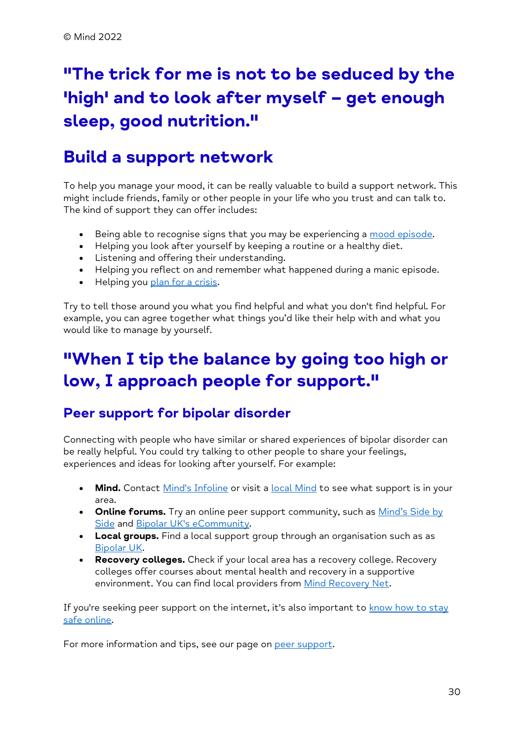# **"The trick for me is not to be seduced by the 'high' and to look after myself – get enough sleep, good nutrition."**

### **Build a support network**

To help you manage your mood, it can be really valuable to build a support network. This might include friends, family or other people in your life who you trust and can talk to. The kind of support they can offer includes:

- Being able to recognise signs that you may be experiencing a [mood episode.](https://www.mind.org.uk/information-support/types-of-mental-health-problems/bipolar-disorder/bipolar-moods-symptoms/)
- Helping you look after yourself by keeping a routine or a healthy diet.
- Listening and offering their understanding.
- Helping you reflect on and remember what happened during a manic episode.
- Helping you [plan for a crisis.](https://www.mind.org.uk/information-support/guides-to-support-and-services/crisis-services/planning-for-a-crisis/)

Try to tell those around you what you find helpful and what you don't find helpful. For example, you can agree together what things you'd like their help with and what you would like to manage by yourself.

## **"When I tip the balance by going too high or low, I approach people for support."**

#### **Peer support for bipolar disorder**

Connecting with people who have similar or shared experiences of bipolar disorder can be really helpful. You could try talking to other people to share your feelings, experiences and ideas for looking after yourself. For example:

- Mind. Contact [Mind's Infoline](https://www.mind.org.uk/information-support/helplines/) or visit a [local Mind](https://www.mind.org.uk/information-support/local-minds/) to see what support is in your area.
- **Online forums.** Try an online peer support community, such as *Mind's Side by* [Side](https://www.mind.org.uk/about-us/our-policy-work/side-by-side/) and [Bipolar UK's eCommunity.](https://www.bipolaruk.org/ecommunity)
- **Local groups.** Find a local support group through an organisation such as as [Bipolar UK.](https://www.bipolaruk.org/pages/events/category/online-support-groups-parent-category)
- **Recovery colleges.** Check if your local area has a recovery college. Recovery colleges offer courses about mental health and recovery in a supportive environment. You can find local providers from [Mind Recovery Net.](https://mindrecoverynet.org.uk/providers/)

If you're seeking peer support on the internet, it's also important to know how to stay [safe online.](https://www.mind.org.uk/information-support/tips-for-everyday-living/online-mental-health/)

For more information and tips, see our page on [peer support.](https://www.mind.org.uk/information-support/drugs-and-treatments/peer-support/)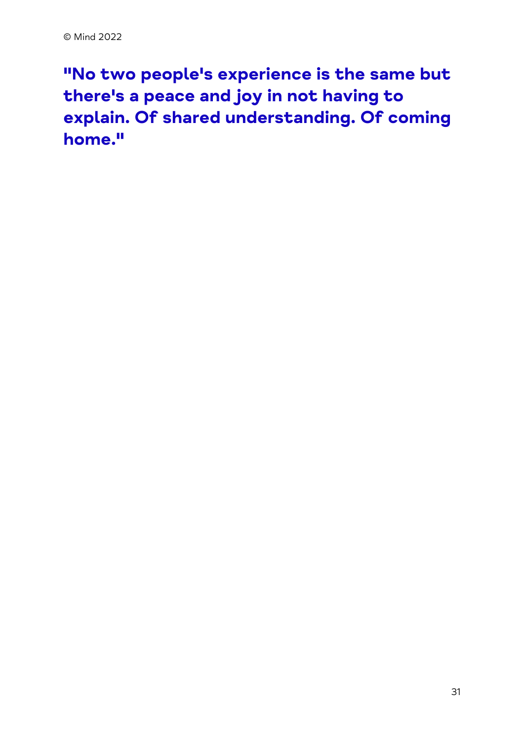**"No two people's experience is the same but there's a peace and joy in not having to explain. Of shared understanding. Of coming home."**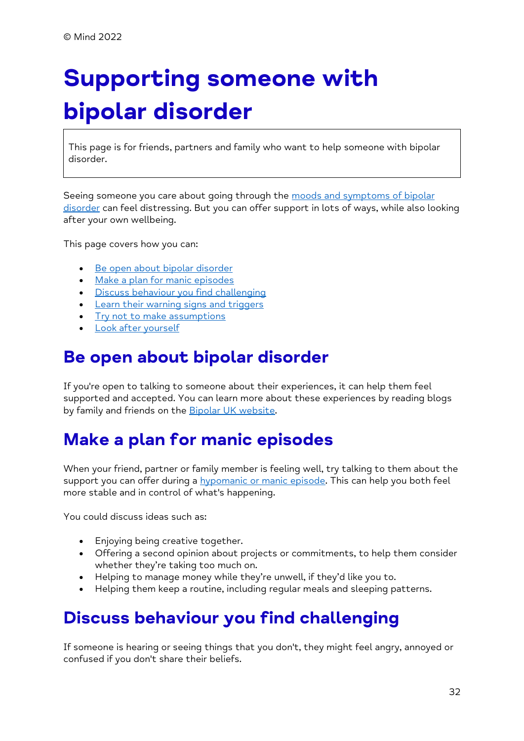# <span id="page-31-0"></span>**Supporting someone with bipolar disorder**

This page is for friends, partners and family who want to help someone with bipolar disorder.

Seeing someone you care about going through the moods and symptoms of bipolar [disorder](https://www.mind.org.uk/information-support/types-of-mental-health-problems/bipolar-disorder/bipolar-moods-symptoms/) can feel distressing. But you can offer support in lots of ways, while also looking after your own wellbeing.

This page covers how you can:

- [Be open about bipolar disorder](https://www.mind.org.uk/information-support/types-of-mental-health-problems/bipolar-disorder/supporting-someone-with-bipolar/#BeOpenAboutBipolarDisorder)
- [Make a plan for manic episodes](https://www.mind.org.uk/information-support/types-of-mental-health-problems/bipolar-disorder/supporting-someone-with-bipolar/#MakeAPlanForManicEpisodes)
- [Discuss behaviour you find challenging](https://www.mind.org.uk/information-support/types-of-mental-health-problems/bipolar-disorder/supporting-someone-with-bipolar/#DiscussBehaviourYouFindChallenging)
- [Learn their warning signs and triggers](https://www.mind.org.uk/information-support/types-of-mental-health-problems/bipolar-disorder/supporting-someone-with-bipolar/#LearnTheirWarningSignsAndTriggers)
- [Try not to make assumptions](https://www.mind.org.uk/information-support/types-of-mental-health-problems/bipolar-disorder/supporting-someone-with-bipolar/#TryNotToMakeAssumptions)
- [Look after yourself](https://www.mind.org.uk/information-support/types-of-mental-health-problems/bipolar-disorder/supporting-someone-with-bipolar/#LookAfterYourself)

#### **Be open about bipolar disorder**

If you're open to talking to someone about their experiences, it can help them feel supported and accepted. You can learn more about these experiences by reading blogs by family and friends on the **Bipolar UK website**.

## **Make a plan for manic episodes**

When your friend, partner or family member is feeling well, try talking to them about the support you can offer during a [hypomanic or manic episode.](https://www.mind.org.uk/information-support/types-of-mental-health-problems/bipolar-disorder/bipolar-moods-symptoms/#ManicAndHypomanicEpisodes) This can help you both feel more stable and in control of what's happening.

You could discuss ideas such as:

- Enjoying being creative together.
- Offering a second opinion about projects or commitments, to help them consider whether they're taking too much on.
- Helping to manage money while they're unwell, if they'd like you to.
- Helping them keep a routine, including regular meals and sleeping patterns.

## **Discuss behaviour you find challenging**

If someone is hearing or seeing things that you don't, they might feel angry, annoyed or confused if you don't share their beliefs.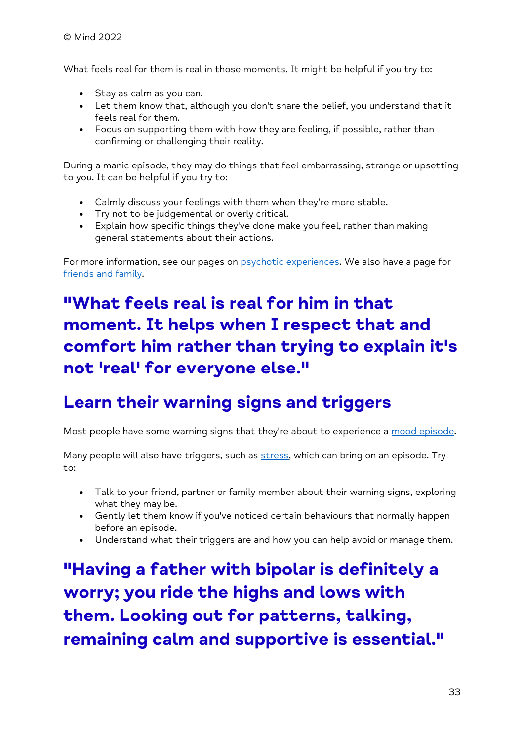What feels real for them is real in those moments. It might be helpful if you try to:

- Stay as calm as you can.
- Let them know that, although you don't share the belief, you understand that it feels real for them.
- Focus on supporting them with how they are feeling, if possible, rather than confirming or challenging their reality.

During a manic episode, they may do things that feel embarrassing, strange or upsetting to you. It can be helpful if you try to:

- Calmly discuss your feelings with them when they're more stable.
- Try not to be judgemental or overly critical.
- Explain how specific things they've done make you feel, rather than making general statements about their actions.

For more information, see our pages on [psychotic experiences.](https://www.mind.org.uk/information-support/types-of-mental-health-problems/psychosis/) We also have a page for [friends and family.](https://www.mind.org.uk/information-support/types-of-mental-health-problems/psychosis/for-friends-and-family/)

## **"What feels real is real for him in that moment. It helps when I respect that and comfort him rather than trying to explain it's not 'real' for everyone else."**

#### **Learn their warning signs and triggers**

Most people have some warning signs that they're about to experience a [mood episode.](https://www.mind.org.uk/information-support/types-of-mental-health-problems/bipolar-disorder/bipolar-moods-symptoms/)

Many people will also have triggers, such as [stress,](https://www.mind.org.uk/information-support/types-of-mental-health-problems/stress/what-is-stress/) which can bring on an episode. Try to:

- Talk to your friend, partner or family member about their warning signs, exploring what they may be.
- Gently let them know if you've noticed certain behaviours that normally happen before an episode.
- Understand what their triggers are and how you can help avoid or manage them.

**"Having a father with bipolar is definitely a worry; you ride the highs and lows with them. Looking out for patterns, talking, remaining calm and supportive is essential."**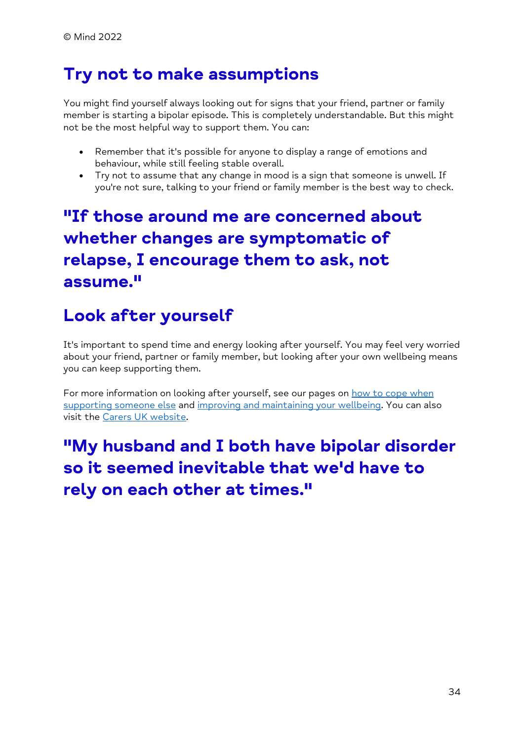### **Try not to make assumptions**

You might find yourself always looking out for signs that your friend, partner or family member is starting a bipolar episode. This is completely understandable. But this might not be the most helpful way to support them. You can:

- Remember that it's possible for anyone to display a range of emotions and behaviour, while still feeling stable overall.
- Try not to assume that any change in mood is a sign that someone is unwell. If you're not sure, talking to your friend or family member is the best way to check.

## **"If those around me are concerned about whether changes are symptomatic of relapse, I encourage them to ask, not assume."**

### **Look after yourself**

It's important to spend time and energy looking after yourself. You may feel very worried about your friend, partner or family member, but looking after your own wellbeing means you can keep supporting them.

For more information on looking after yourself, see our pages on [how to cope when](https://www.mind.org.uk/information-support/helping-someone-else/)  [supporting someone else](https://www.mind.org.uk/information-support/helping-someone-else/) and [improving and maintaining your wellbeing.](https://www.mind.org.uk/information-support/tips-for-everyday-living/wellbeing/) You can also visit the [Carers UK website.](https://www.carersuk.org/)

**"My husband and I both have bipolar disorder so it seemed inevitable that we'd have to rely on each other at times."**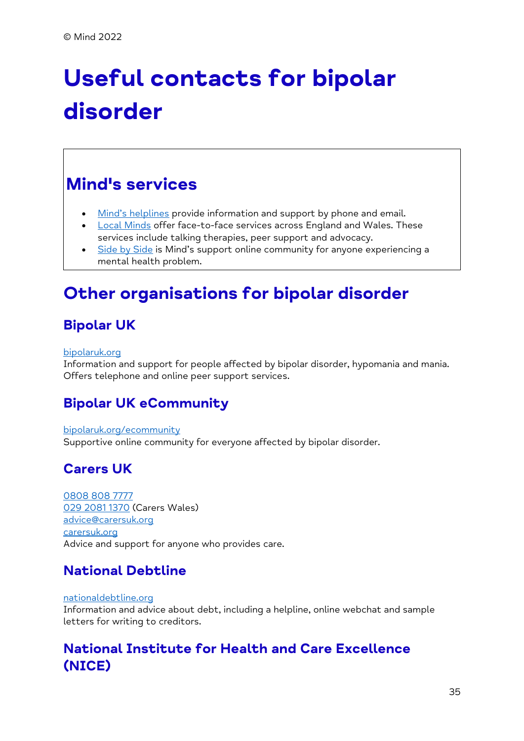# <span id="page-34-0"></span>**Useful contacts for bipolar disorder**

## **Mind's services**

- [Mind's helplines](https://www.mind.org.uk/information-support/helplines/) provide information and support by phone and email.
- [Local Minds](https://www.mind.org.uk/about-us/local-minds/) offer face-to-face services across England and Wales. These services include talking therapies, peer support and advocacy.
- [Side by Side](https://www.mind.org.uk/information-support/side-by-side-our-online-community/) is Mind's support online community for anyone experiencing a mental health problem.

## **Other organisations for bipolar disorder**

#### **Bipolar UK**

#### [bipolaruk.org](https://www.bipolaruk.org/)

Information and support for people affected by bipolar disorder, hypomania and mania. Offers telephone and online peer support services.

#### **Bipolar UK eCommunity**

#### [bipolaruk.org/ecommunity](https://www.bipolaruk.org/ecommunity)

Supportive online community for everyone affected by bipolar disorder.

#### **Carers UK**

[0808 808 7777](tel:+44-808-808-7777) [029 2081 1370](tel:+44-29-2081-1370) (Carers Wales) [advice@carersuk.org](mailto:advice@carersuk.org) [carersuk.org](https://www.carersuk.org/) Advice and support for anyone who provides care.

#### **National Debtline**

#### [nationaldebtline.org](https://www.nationaldebtline.org/)

Information and advice about debt, including a helpline, online webchat and sample letters for writing to creditors.

#### **National Institute for Health and Care Excellence (NICE)**